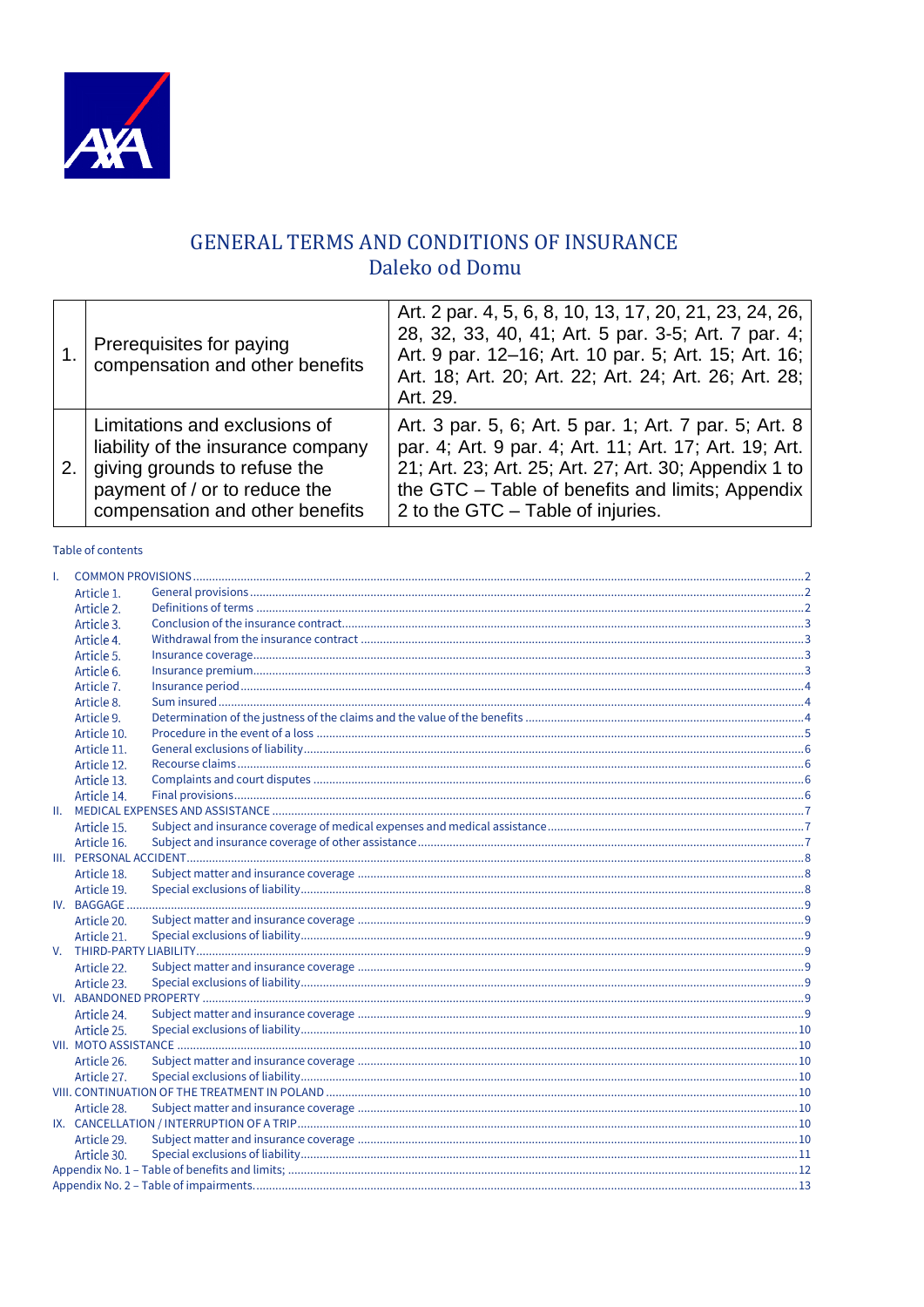

# GENERAL TERMS AND CONDITIONS OF INSURANCE Daleko od Domu

|    | Prerequisites for paying<br>compensation and other benefits                                                                                                             | Art. 2 par. 4, 5, 6, 8, 10, 13, 17, 20, 21, 23, 24, 26,<br>28, 32, 33, 40, 41; Art. 5 par. 3-5; Art. 7 par. 4;<br>Art. 9 par. 12-16; Art. 10 par. 5; Art. 15; Art. 16;<br>Art. 18; Art. 20; Art. 22; Art. 24; Art. 26; Art. 28;<br>Art. 29.                        |
|----|-------------------------------------------------------------------------------------------------------------------------------------------------------------------------|--------------------------------------------------------------------------------------------------------------------------------------------------------------------------------------------------------------------------------------------------------------------|
| 2. | Limitations and exclusions of<br>liability of the insurance company<br>giving grounds to refuse the<br>payment of / or to reduce the<br>compensation and other benefits | Art. 3 par. 5, 6; Art. 5 par. 1; Art. 7 par. 5; Art. 8<br>par. 4; Art. 9 par. 4; Art. 11; Art. 17; Art. 19; Art.<br>21; Art. 23; Art. 25; Art. 27; Art. 30; Appendix 1 to<br>the GTC - Table of benefits and limits; Appendix<br>2 to the GTC - Table of injuries. |

# Table of contents

| Τ. |             |  |
|----|-------------|--|
|    | Article 1.  |  |
|    | Article 2.  |  |
|    | Article 3.  |  |
|    | Article 4.  |  |
|    | Article 5.  |  |
|    | Article 6.  |  |
|    | Article 7.  |  |
|    | Article 8.  |  |
|    | Article 9.  |  |
|    | Article 10. |  |
|    | Article 11. |  |
|    | Article 12. |  |
|    | Article 13. |  |
|    | Article 14. |  |
|    |             |  |
|    | Article 15. |  |
|    | Article 16. |  |
|    |             |  |
|    | Article 18. |  |
|    | Article 19. |  |
|    | IV. BAGGAGE |  |
|    | Article 20. |  |
|    | Article 21. |  |
| V. |             |  |
|    | Article 22. |  |
|    | Article 23. |  |
|    |             |  |
|    | Article 24. |  |
|    | Article 25. |  |
|    |             |  |
|    | Article 26. |  |
|    | Article 27. |  |
|    |             |  |
|    | Article 28. |  |
|    |             |  |
|    | Article 29. |  |
|    | Article 30. |  |
|    |             |  |
|    |             |  |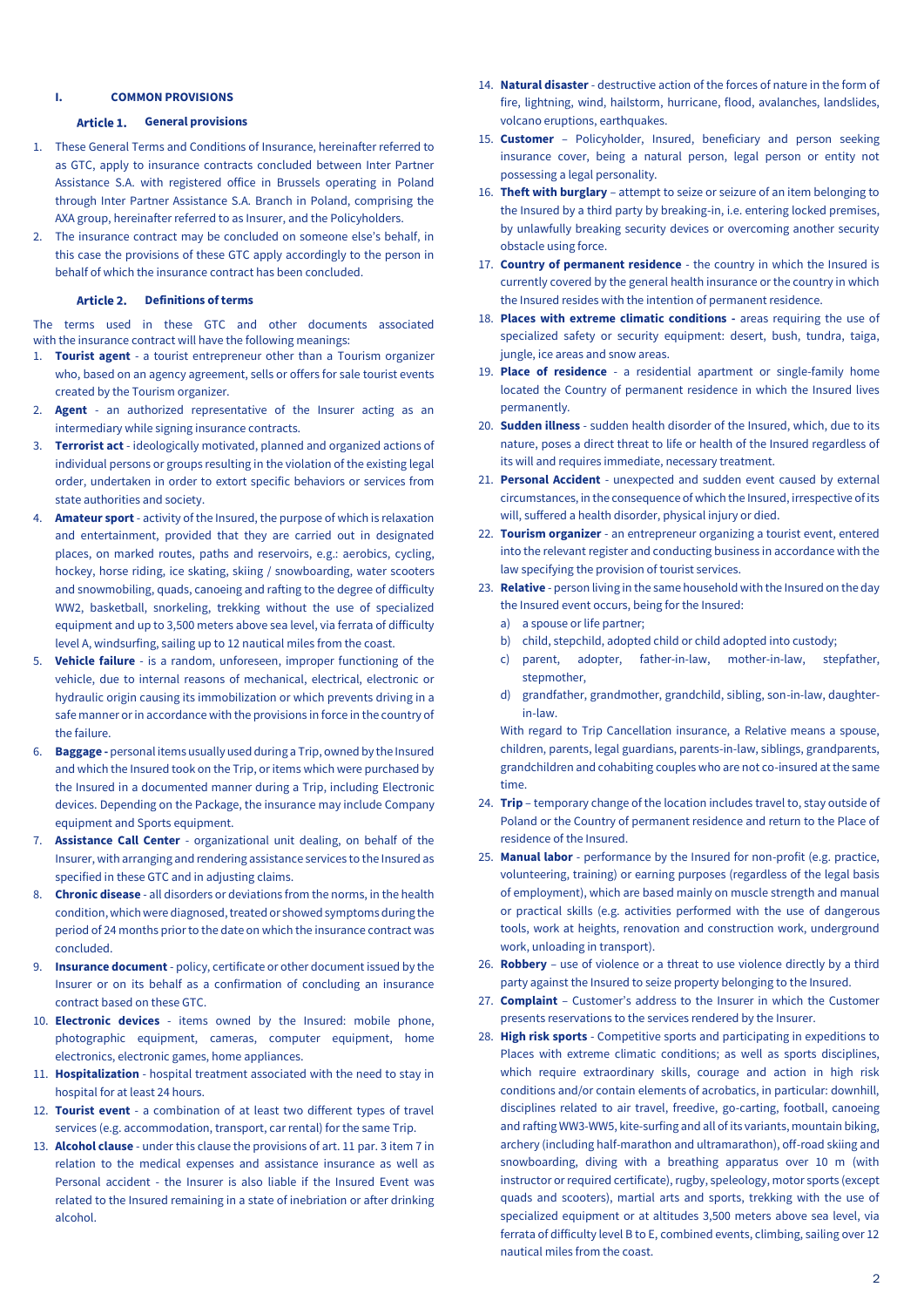### <span id="page-1-0"></span>**I. COMMON PROVISIONS**

#### Article 1. **General provisions**

- <span id="page-1-1"></span>1. These General Terms and Conditions of Insurance, hereinafter referred to as GTC, apply to insurance contracts concluded between Inter Partner Assistance S.A. with registered office in Brussels operating in Poland through Inter Partner Assistance S.A. Branch in Poland, comprising the AXA group, hereinafter referred to as Insurer, and the Policyholders.
- 2. The insurance contract may be concluded on someone else's behalf, in this case the provisions of these GTC apply accordingly to the person in behalf of which the insurance contract has been concluded.

#### Article 2. **Definitions of terms**

<span id="page-1-2"></span>The terms used in these GTC and other documents associated with the insurance contract will have the following meanings:

- 1. **Tourist agent** a tourist entrepreneur other than a Tourism organizer who, based on an agency agreement, sells or offers for sale tourist events created by the Tourism organizer.
- 2. **Agent** an authorized representative of the Insurer acting as an intermediary while signing insurance contracts.
- 3. **Terrorist act** ideologically motivated, planned and organized actions of individual persons or groups resulting in the violation of the existing legal order, undertaken in order to extort specific behaviors or services from state authorities and society.
- 4. **Amateur sport** activity of the Insured, the purpose of which is relaxation and entertainment, provided that they are carried out in designated places, on marked routes, paths and reservoirs, e.g.: aerobics, cycling, hockey, horse riding, ice skating, skiing / snowboarding, water scooters and snowmobiling, quads, canoeing and rafting to the degree of difficulty WW2, basketball, snorkeling, trekking without the use of specialized equipment and up to 3,500 meters above sea level, via ferrata of difficulty level A, windsurfing, sailing up to 12 nautical miles from the coast.
- 5. **Vehicle failure** is a random, unforeseen, improper functioning of the vehicle, due to internal reasons of mechanical, electrical, electronic or hydraulic origin causing its immobilization or which prevents driving in a safe manner or in accordance with the provisions in force in the country of the failure.
- 6. **Baggage -** personal items usually used during a Trip, owned by the Insured and which the Insured took on the Trip, or items which were purchased by the Insured in a documented manner during a Trip, including Electronic devices. Depending on the Package, the insurance may include Company equipment and Sports equipment.
- 7. **Assistance Call Center** organizational unit dealing, on behalf of the Insurer, with arranging and rendering assistance services to the Insured as specified in these GTC and in adjusting claims.
- 8. **Chronic disease** all disorders or deviations from the norms, in the health condition, which were diagnosed, treated or showed symptoms during the period of 24 months prior to the date on which the insurance contract was concluded.
- 9. **Insurance document** policy, certificate or other document issued by the Insurer or on its behalf as a confirmation of concluding an insurance contract based on these GTC.
- 10. **Electronic devices** items owned by the Insured: mobile phone, photographic equipment, cameras, computer equipment, home electronics, electronic games, home appliances.
- 11. **Hospitalization** hospital treatment associated with the need to stay in hospital for at least 24 hours.
- 12. **Tourist event** a combination of at least two different types of travel services (e.g. accommodation, transport, car rental) for the same Trip.
- 13. **Alcohol clause** under this clause the provisions of art. 11 par. 3 item 7 in relation to the medical expenses and assistance insurance as well as Personal accident - the Insurer is also liable if the Insured Event was related to the Insured remaining in a state of inebriation or after drinking alcohol.
- 14. **Natural disaster** destructive action of the forces of nature in the form of fire, lightning, wind, hailstorm, hurricane, flood, avalanches, landslides, volcano eruptions, earthquakes.
- 15. **Customer** Policyholder, Insured, beneficiary and person seeking insurance cover, being a natural person, legal person or entity not possessing a legal personality.
- 16. **Theft with burglary**  attempt to seize or seizure of an item belonging to the Insured by a third party by breaking-in, i.e. entering locked premises, by unlawfully breaking security devices or overcoming another security obstacle using force.
- 17. **Country of permanent residence** the country in which the Insured is currently covered by the general health insurance or the country in which the Insured resides with the intention of permanent residence.
- 18. **Places with extreme climatic conditions -** areas requiring the use of specialized safety or security equipment: desert, bush, tundra, taiga, jungle, ice areas and snow areas.
- 19. **Place of residence** a residential apartment or single-family home located the Country of permanent residence in which the Insured lives permanently.
- 20. **Sudden illness** sudden health disorder of the Insured, which, due to its nature, poses a direct threat to life or health of the Insured regardless of its will and requires immediate, necessary treatment.
- 21. **Personal Accident** unexpected and sudden event caused by external circumstances, in the consequence of which the Insured, irrespective of its will, suffered a health disorder, physical injury or died.
- 22. **Tourism organizer** an entrepreneur organizing a tourist event, entered into the relevant register and conducting business in accordance with the law specifying the provision of tourist services.
- 23. **Relative** person living in the same household with the Insured on the day the Insured event occurs, being for the Insured:
	- a) a spouse or life partner;
	- b) child, stepchild, adopted child or child adopted into custody;
	- c) parent, adopter, father-in-law, mother-in-law, stepfather, stepmother,
	- d) grandfather, grandmother, grandchild, sibling, son-in-law, daughterin-law.

With regard to Trip Cancellation insurance, a Relative means a spouse, children, parents, legal guardians, parents-in-law, siblings, grandparents, grandchildren and cohabiting couples who are not co-insured at the same time.

- 24. **Trip**  temporary change of the location includes travel to, stay outside of Poland or the Country of permanent residence and return to the Place of residence of the Insured.
- 25. **Manual labor** performance by the Insured for non-profit (e.g. practice, volunteering, training) or earning purposes (regardless of the legal basis of employment), which are based mainly on muscle strength and manual or practical skills (e.g. activities performed with the use of dangerous tools, work at heights, renovation and construction work, underground work, unloading in transport).
- 26. **Robbery** use of violence or a threat to use violence directly by a third party against the Insured to seize property belonging to the Insured.
- 27. **Complaint** Customer's address to the Insurer in which the Customer presents reservations to the services rendered by the Insurer.
- 28. **High risk sports** Competitive sports and participating in expeditions to Places with extreme climatic conditions; as well as sports disciplines, which require extraordinary skills, courage and action in high risk conditions and/or contain elements of acrobatics, in particular: downhill, disciplines related to air travel, freedive, go-carting, football, canoeing and rafting WW3-WW5, kite-surfing and all of its variants, mountain biking, archery (including half-marathon and ultramarathon), off-road skiing and snowboarding, diving with a breathing apparatus over 10 m (with instructor or required certificate), rugby, speleology, motor sports (except quads and scooters), martial arts and sports, trekking with the use of specialized equipment or at altitudes 3,500 meters above sea level, via ferrata of difficulty level B to E, combined events, climbing, sailing over 12 nautical miles from the coast.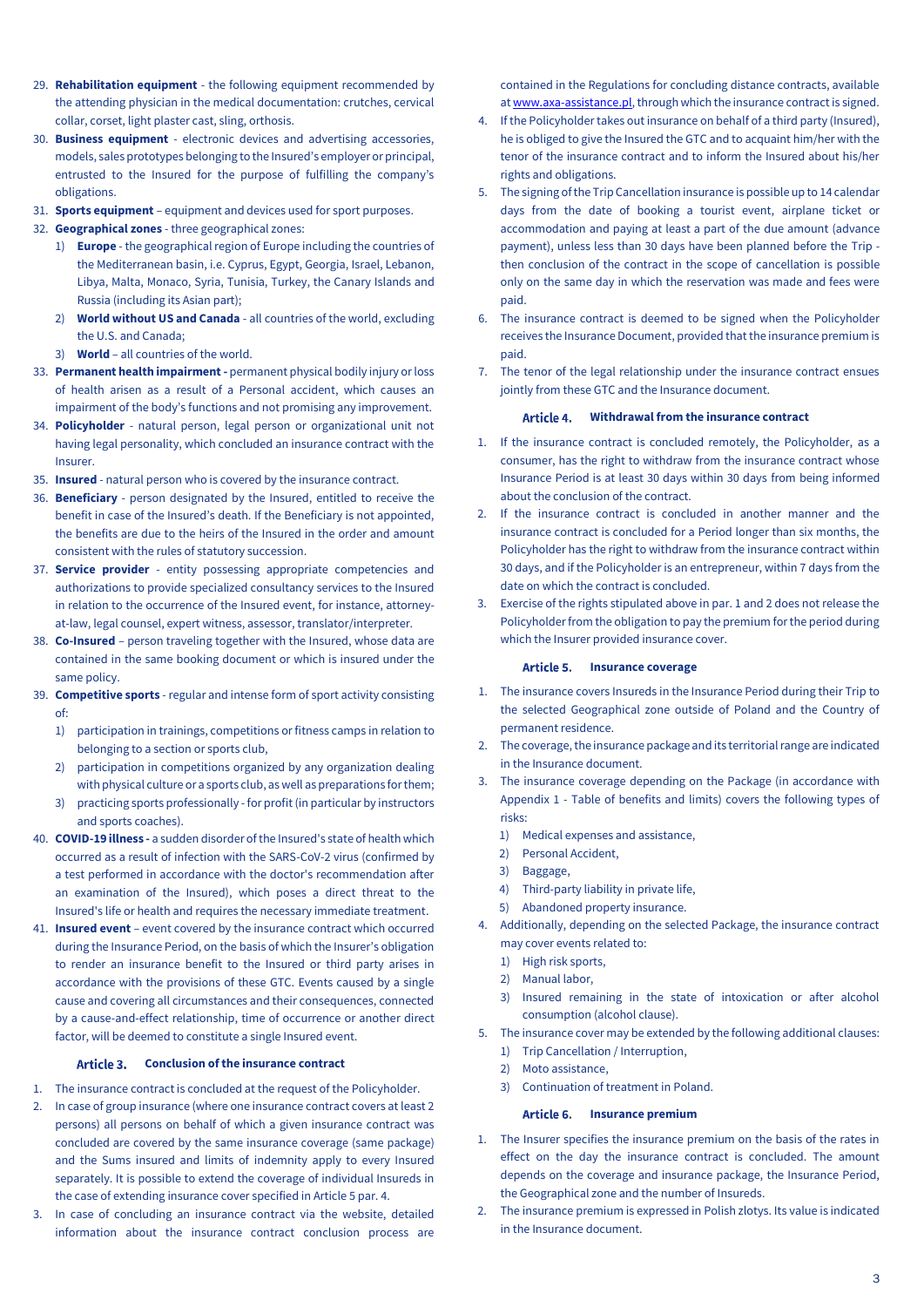- 29. **Rehabilitation equipment** the following equipment recommended by the attending physician in the medical documentation: crutches, cervical collar, corset, light plaster cast, sling, orthosis.
- 30. **Business equipment** electronic devices and advertising accessories, models, sales prototypes belonging to the Insured's employer or principal, entrusted to the Insured for the purpose of fulfilling the company's obligations.
- 31. **Sports equipment** equipment and devices used for sport purposes.
- 32. **Geographical zones** three geographical zones:
	- 1) **Europe** the geographical region of Europe including the countries of the Mediterranean basin, i.e. Cyprus, Egypt, Georgia, Israel, Lebanon, Libya, Malta, Monaco, Syria, Tunisia, Turkey, the Canary Islands and Russia (including its Asian part);
	- 2) **World without US and Canada** all countries of the world, excluding the U.S. and Canada;
	- 3) **World**  all countries of the world.
- 33. **Permanent health impairment -** permanent physical bodily injury or loss of health arisen as a result of a Personal accident, which causes an impairment of the body's functions and not promising any improvement.
- 34. **Policyholder** natural person, legal person or organizational unit not having legal personality, which concluded an insurance contract with the Insurer.
- 35. **Insured** natural person who is covered by the insurance contract.
- 36. **Beneficiary** person designated by the Insured, entitled to receive the benefit in case of the Insured's death. If the Beneficiary is not appointed, the benefits are due to the heirs of the Insured in the order and amount consistent with the rules of statutory succession.
- 37. **Service provider** entity possessing appropriate competencies and authorizations to provide specialized consultancy services to the Insured in relation to the occurrence of the Insured event, for instance, attorneyat-law, legal counsel, expert witness, assessor, translator/interpreter.
- 38. **Co-Insured** person traveling together with the Insured, whose data are contained in the same booking document or which is insured under the same policy.
- 39. **Competitive sports** regular and intense form of sport activity consisting of:
	- 1) participation in trainings, competitions or fitness camps in relation to belonging to a section or sports club,
	- 2) participation in competitions organized by any organization dealing with physical culture or a sports club, as well as preparations for them;
	- 3) practicing sports professionally for profit (in particular by instructors and sports coaches).
- 40. **COVID-19 illness -** a sudden disorder of the Insured's state of health which occurred as a result of infection with the SARS-CoV-2 virus (confirmed by a test performed in accordance with the doctor's recommendation after an examination of the Insured), which poses a direct threat to the Insured's life or health and requires the necessary immediate treatment.
- 41. **Insured event** event covered by the insurance contract which occurred during the Insurance Period, on the basis of which the Insurer's obligation to render an insurance benefit to the Insured or third party arises in accordance with the provisions of these GTC. Events caused by a single cause and covering all circumstances and their consequences, connected by a cause-and-effect relationship, time of occurrence or another direct factor, will be deemed to constitute a single Insured event.

#### Article 3. **Conclusion of the insurance contract**

- <span id="page-2-0"></span>1. The insurance contract is concluded at the request of the Policyholder.
- 2. In case of group insurance (where one insurance contract covers at least 2 persons) all persons on behalf of which a given insurance contract was concluded are covered by the same insurance coverage (same package) and the Sums insured and limits of indemnity apply to every Insured separately. It is possible to extend the coverage of individual Insureds in the case of extending insurance cover specified in Article 5 par. 4.
- 3. In case of concluding an insurance contract via the website, detailed information about the insurance contract conclusion process are

contained in the Regulations for concluding distance contracts, available a[t www.axa-assistance.pl,](http://www.axa-assistance.pl/) through which the insurance contract is signed.

- 4. If the Policyholder takes out insurance on behalf of a third party (Insured), he is obliged to give the Insured the GTC and to acquaint him/her with the tenor of the insurance contract and to inform the Insured about his/her rights and obligations.
- 5. The signing of the Trip Cancellation insurance is possible up to 14 calendar days from the date of booking a tourist event, airplane ticket or accommodation and paying at least a part of the due amount (advance payment), unless less than 30 days have been planned before the Trip then conclusion of the contract in the scope of cancellation is possible only on the same day in which the reservation was made and fees were paid.
- 6. The insurance contract is deemed to be signed when the Policyholder receives the Insurance Document, provided that the insurance premium is paid.
- <span id="page-2-1"></span>7. The tenor of the legal relationship under the insurance contract ensues jointly from these GTC and the Insurance document.

#### Article 4. **Withdrawal from the insurance contract**

- 1. If the insurance contract is concluded remotely, the Policyholder, as a consumer, has the right to withdraw from the insurance contract whose Insurance Period is at least 30 days within 30 days from being informed about the conclusion of the contract.
- 2. If the insurance contract is concluded in another manner and the insurance contract is concluded for a Period longer than six months, the Policyholder has the right to withdraw from the insurance contract within 30 days, and if the Policyholder is an entrepreneur, within 7 days from the date on which the contract is concluded.
- 3. Exercise of the rights stipulated above in par. 1 and 2 does not release the Policyholder from the obligation to pay the premium for the period during which the Insurer provided insurance cover.

#### Article 5. **Insurance coverage**

- <span id="page-2-2"></span>1. The insurance covers Insureds in the Insurance Period during their Trip to the selected Geographical zone outside of Poland and the Country of permanent residence.
- 2. The coverage, the insurance package and its territorial range are indicated in the Insurance document.
- 3. The insurance coverage depending on the Package (in accordance with Appendix 1 - Table of benefits and limits) covers the following types of risks:
	- 1) Medical expenses and assistance,
	- 2) Personal Accident,
	- 3) Baggage,
	- 4) Third-party liability in private life,
	- 5) Abandoned property insurance.
- 4. Additionally, depending on the selected Package, the insurance contract may cover events related to:
	- 1) High risk sports,
	- 2) Manual labor,
	- 3) Insured remaining in the state of intoxication or after alcohol consumption (alcohol clause).
- 5. The insurance cover may be extended by the following additional clauses:
	- 1) Trip Cancellation / Interruption,
	- 2) Moto assistance,
	- 3) Continuation of treatment in Poland.

#### Article 6. **Insurance premium**

- <span id="page-2-3"></span>1. The Insurer specifies the insurance premium on the basis of the rates in effect on the day the insurance contract is concluded. The amount depends on the coverage and insurance package, the Insurance Period, the Geographical zone and the number of Insureds.
- 2. The insurance premium is expressed in Polish zlotys. Its value is indicated in the Insurance document.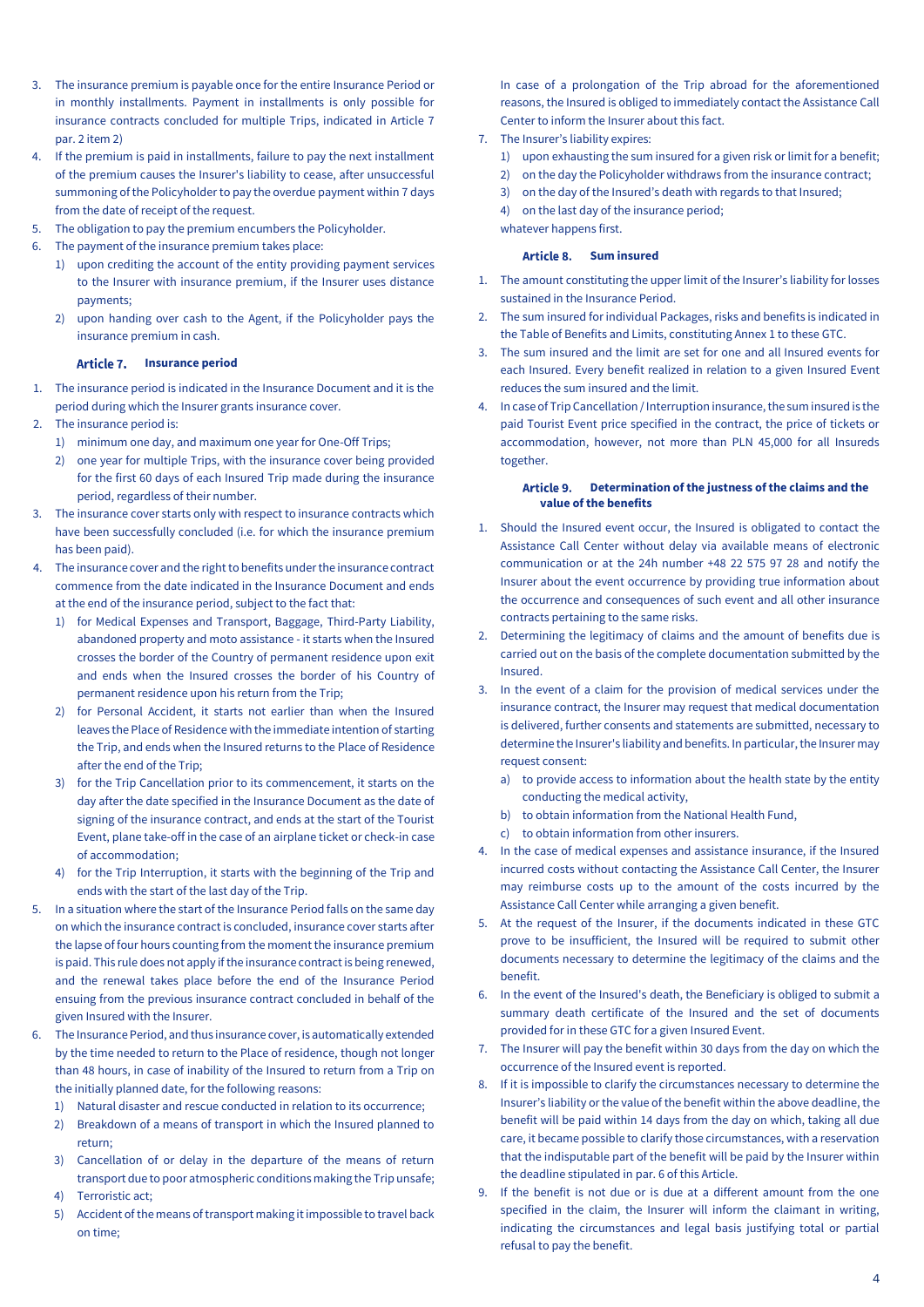- 3. The insurance premium is payable once for the entire Insurance Period or in monthly installments. Payment in installments is only possible for insurance contracts concluded for multiple Trips, indicated in Article 7 par. 2 item 2)
- 4. If the premium is paid in installments, failure to pay the next installment of the premium causes the Insurer's liability to cease, after unsuccessful summoning of the Policyholder to pay the overdue payment within 7 days from the date of receipt of the request.
- 5. The obligation to pay the premium encumbers the Policyholder.
- 6. The payment of the insurance premium takes place:
	- 1) upon crediting the account of the entity providing payment services to the Insurer with insurance premium, if the Insurer uses distance payments;
	- 2) upon handing over cash to the Agent, if the Policyholder pays the insurance premium in cash.

### Article 7. **Insurance period**

- <span id="page-3-0"></span>1. The insurance period is indicated in the Insurance Document and it is the period during which the Insurer grants insurance cover.
- 2. The insurance period is:
	- 1) minimum one day, and maximum one year for One-Off Trips;
	- 2) one year for multiple Trips, with the insurance cover being provided for the first 60 days of each Insured Trip made during the insurance period, regardless of their number.
- 3. The insurance cover starts only with respect to insurance contracts which have been successfully concluded (i.e. for which the insurance premium has been paid).
- 4. The insurance cover and the right to benefits under the insurance contract commence from the date indicated in the Insurance Document and ends at the end of the insurance period, subject to the fact that:
	- 1) for Medical Expenses and Transport, Baggage, Third-Party Liability, abandoned property and moto assistance - it starts when the Insured crosses the border of the Country of permanent residence upon exit and ends when the Insured crosses the border of his Country of permanent residence upon his return from the Trip;
	- 2) for Personal Accident, it starts not earlier than when the Insured leaves the Place of Residence with the immediate intention of starting the Trip, and ends when the Insured returns to the Place of Residence after the end of the Trip;
	- 3) for the Trip Cancellation prior to its commencement, it starts on the day after the date specified in the Insurance Document as the date of signing of the insurance contract, and ends at the start of the Tourist Event, plane take-off in the case of an airplane ticket or check-in case of accommodation;
	- 4) for the Trip Interruption, it starts with the beginning of the Trip and ends with the start of the last day of the Trip.
- 5. In a situation where the start of the Insurance Period falls on the same day on which the insurance contract is concluded, insurance cover starts after the lapse of four hours counting from the moment the insurance premium is paid. This rule does not apply if the insurance contract is being renewed, and the renewal takes place before the end of the Insurance Period ensuing from the previous insurance contract concluded in behalf of the given Insured with the Insurer.
- The Insurance Period, and thus insurance cover, is automatically extended by the time needed to return to the Place of residence, though not longer than 48 hours, in case of inability of the Insured to return from a Trip on the initially planned date, for the following reasons:
	- 1) Natural disaster and rescue conducted in relation to its occurrence;
	- 2) Breakdown of a means of transport in which the Insured planned to return;
	- 3) Cancellation of or delay in the departure of the means of return transport due to poor atmospheric conditions making the Trip unsafe;
	- 4) Terroristic act;
	- 5) Accident of the means of transport making it impossible to travel back on time;

In case of a prolongation of the Trip abroad for the aforementioned reasons, the Insured is obliged to immediately contact the Assistance Call Center to inform the Insurer about this fact.

- 7. The Insurer's liability expires:
	- 1) upon exhausting the sum insured for a given risk or limit for a benefit;
	- 2) on the day the Policyholder withdraws from the insurance contract;
	- 3) on the day of the Insured's death with regards to that Insured;
	- 4) on the last day of the insurance period;

#### <span id="page-3-1"></span>whatever happens first. Article 8. **Sum insured**

- 1. The amount constituting the upper limit of the Insurer's liability for losses sustained in the Insurance Period.
- 2. The sum insured for individual Packages, risks and benefits is indicated in the Table of Benefits and Limits, constituting Annex 1 to these GTC.
- 3. The sum insured and the limit are set for one and all Insured events for each Insured. Every benefit realized in relation to a given Insured Event reduces the sum insured and the limit.
- 4. In case of Trip Cancellation / Interruption insurance, the sum insured is the paid Tourist Event price specified in the contract, the price of tickets or accommodation, however, not more than PLN 45,000 for all Insureds together.

#### <span id="page-3-2"></span>**Determination of the justness of the claims and the value of the benefits**

- 1. Should the Insured event occur, the Insured is obligated to contact the Assistance Call Center without delay via available means of electronic communication or at the 24h number +48 22 575 97 28 and notify the Insurer about the event occurrence by providing true information about the occurrence and consequences of such event and all other insurance contracts pertaining to the same risks.
- 2. Determining the legitimacy of claims and the amount of benefits due is carried out on the basis of the complete documentation submitted by the Insured.
- 3. In the event of a claim for the provision of medical services under the insurance contract, the Insurer may request that medical documentation is delivered, further consents and statements are submitted, necessary to determine the Insurer's liability and benefits. In particular, the Insurer may request consent:
	- a) to provide access to information about the health state by the entity conducting the medical activity,
	- b) to obtain information from the National Health Fund,
	- c) to obtain information from other insurers.
- 4. In the case of medical expenses and assistance insurance, if the Insured incurred costs without contacting the Assistance Call Center, the Insurer may reimburse costs up to the amount of the costs incurred by the Assistance Call Center while arranging a given benefit.
- 5. At the request of the Insurer, if the documents indicated in these GTC prove to be insufficient, the Insured will be required to submit other documents necessary to determine the legitimacy of the claims and the benefit.
- 6. In the event of the Insured's death, the Beneficiary is obliged to submit a summary death certificate of the Insured and the set of documents provided for in these GTC for a given Insured Event.
- 7. The Insurer will pay the benefit within 30 days from the day on which the occurrence of the Insured event is reported.
- 8. If it is impossible to clarify the circumstances necessary to determine the Insurer's liability or the value of the benefit within the above deadline, the benefit will be paid within 14 days from the day on which, taking all due care, it became possible to clarify those circumstances, with a reservation that the indisputable part of the benefit will be paid by the Insurer within the deadline stipulated in par. 6 of this Article.
- 9. If the benefit is not due or is due at a different amount from the one specified in the claim, the Insurer will inform the claimant in writing, indicating the circumstances and legal basis justifying total or partial refusal to pay the benefit.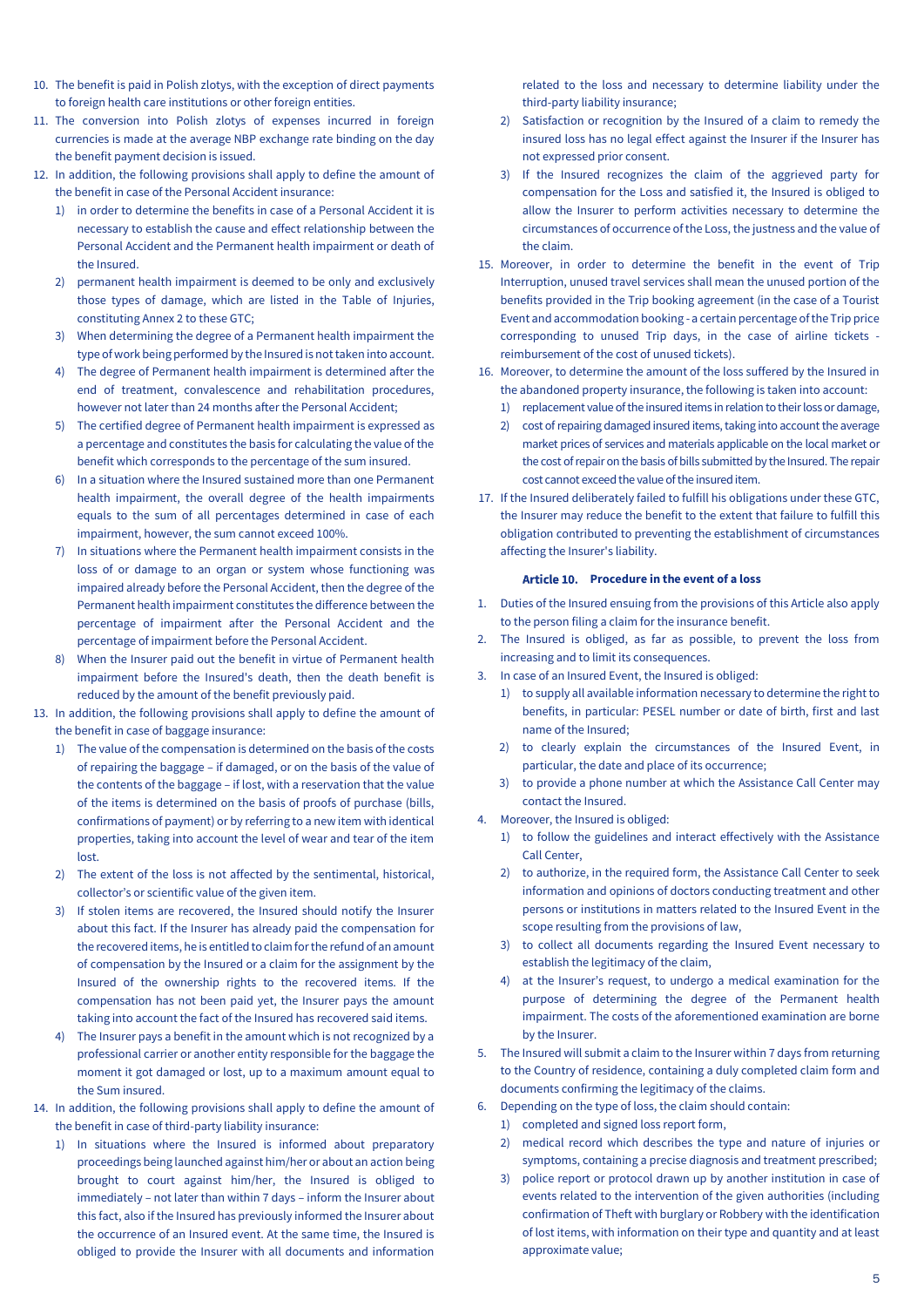- 10. The benefit is paid in Polish zlotys, with the exception of direct payments to foreign health care institutions or other foreign entities.
- 11. The conversion into Polish zlotys of expenses incurred in foreign currencies is made at the average NBP exchange rate binding on the day the benefit payment decision is issued.
- 12. In addition, the following provisions shall apply to define the amount of the benefit in case of the Personal Accident insurance:
	- 1) in order to determine the benefits in case of a Personal Accident it is necessary to establish the cause and effect relationship between the Personal Accident and the Permanent health impairment or death of the Insured.
	- 2) permanent health impairment is deemed to be only and exclusively those types of damage, which are listed in the Table of Injuries, constituting Annex 2 to these GTC;
	- 3) When determining the degree of a Permanent health impairment the type of work being performed by the Insured is not taken into account.
	- 4) The degree of Permanent health impairment is determined after the end of treatment, convalescence and rehabilitation procedures, however not later than 24 months after the Personal Accident;
	- 5) The certified degree of Permanent health impairment is expressed as a percentage and constitutes the basis for calculating the value of the benefit which corresponds to the percentage of the sum insured.
	- 6) In a situation where the Insured sustained more than one Permanent health impairment, the overall degree of the health impairments equals to the sum of all percentages determined in case of each impairment, however, the sum cannot exceed 100%.
	- 7) In situations where the Permanent health impairment consists in the loss of or damage to an organ or system whose functioning was impaired already before the Personal Accident, then the degree of the Permanent health impairment constitutes the difference between the percentage of impairment after the Personal Accident and the percentage of impairment before the Personal Accident.
	- 8) When the Insurer paid out the benefit in virtue of Permanent health impairment before the Insured's death, then the death benefit is reduced by the amount of the benefit previously paid.
- 13. In addition, the following provisions shall apply to define the amount of the benefit in case of baggage insurance:
	- 1) The value of the compensation is determined on the basis of the costs of repairing the baggage – if damaged, or on the basis of the value of the contents of the baggage – if lost, with a reservation that the value of the items is determined on the basis of proofs of purchase (bills, confirmations of payment) or by referring to a new item with identical properties, taking into account the level of wear and tear of the item lost.
	- 2) The extent of the loss is not affected by the sentimental, historical, collector's or scientific value of the given item.
	- 3) If stolen items are recovered, the Insured should notify the Insurer about this fact. If the Insurer has already paid the compensation for the recovered items, he is entitled to claim for the refund of an amount of compensation by the Insured or a claim for the assignment by the Insured of the ownership rights to the recovered items. If the compensation has not been paid yet, the Insurer pays the amount taking into account the fact of the Insured has recovered said items.
	- 4) The Insurer pays a benefit in the amount which is not recognized by a professional carrier or another entity responsible for the baggage the moment it got damaged or lost, up to a maximum amount equal to the Sum insured.
- 14. In addition, the following provisions shall apply to define the amount of the benefit in case of third-party liability insurance:
	- 1) In situations where the Insured is informed about preparatory proceedings being launched against him/her or about an action being brought to court against him/her, the Insured is obliged to immediately – not later than within 7 days – inform the Insurer about this fact, also if the Insured has previously informed the Insurer about the occurrence of an Insured event. At the same time, the Insured is obliged to provide the Insurer with all documents and information

related to the loss and necessary to determine liability under the third-party liability insurance;

- 2) Satisfaction or recognition by the Insured of a claim to remedy the insured loss has no legal effect against the Insurer if the Insurer has not expressed prior consent.
- 3) If the Insured recognizes the claim of the aggrieved party for compensation for the Loss and satisfied it, the Insured is obliged to allow the Insurer to perform activities necessary to determine the circumstances of occurrence of the Loss, the justness and the value of the claim.
- 15. Moreover, in order to determine the benefit in the event of Trip Interruption, unused travel services shall mean the unused portion of the benefits provided in the Trip booking agreement (in the case of a Tourist Event and accommodation booking - a certain percentage of the Trip price corresponding to unused Trip days, in the case of airline tickets reimbursement of the cost of unused tickets).
- 16. Moreover, to determine the amount of the loss suffered by the Insured in the abandoned property insurance, the following is taken into account:
	- 1) replacement value of the insured items in relation to their loss or damage,
	- 2) cost of repairing damaged insured items, taking into account the average market prices of services and materials applicable on the local market or the cost of repair on the basis of bills submitted by the Insured. The repair cost cannot exceed the value of the insured item.
- 17. If the Insured deliberately failed to fulfill his obligations under these GTC, the Insurer may reduce the benefit to the extent that failure to fulfill this obligation contributed to preventing the establishment of circumstances affecting the Insurer's liability.

#### Article 10. Procedure in the event of a loss

- <span id="page-4-0"></span>1. Duties of the Insured ensuing from the provisions of this Article also apply to the person filing a claim for the insurance benefit.
- 2. The Insured is obliged, as far as possible, to prevent the loss from increasing and to limit its consequences.
- 3. In case of an Insured Event, the Insured is obliged:
	- 1) to supply all available information necessary to determine the right to benefits, in particular: PESEL number or date of birth, first and last name of the Insured;
	- 2) to clearly explain the circumstances of the Insured Event, in particular, the date and place of its occurrence;
	- 3) to provide a phone number at which the Assistance Call Center may contact the Insured.
- 4. Moreover, the Insured is obliged:
	- 1) to follow the guidelines and interact effectively with the Assistance Call Center,
	- 2) to authorize, in the required form, the Assistance Call Center to seek information and opinions of doctors conducting treatment and other persons or institutions in matters related to the Insured Event in the scope resulting from the provisions of law,
	- 3) to collect all documents regarding the Insured Event necessary to establish the legitimacy of the claim,
	- 4) at the Insurer's request, to undergo a medical examination for the purpose of determining the degree of the Permanent health impairment. The costs of the aforementioned examination are borne by the Insurer.
- 5. The Insured will submit a claim to the Insurer within 7 days from returning to the Country of residence, containing a duly completed claim form and documents confirming the legitimacy of the claims.
- 6. Depending on the type of loss, the claim should contain:
	- 1) completed and signed loss report form,
	- 2) medical record which describes the type and nature of injuries or symptoms, containing a precise diagnosis and treatment prescribed;
	- 3) police report or protocol drawn up by another institution in case of events related to the intervention of the given authorities (including confirmation of Theft with burglary or Robbery with the identification of lost items, with information on their type and quantity and at least approximate value;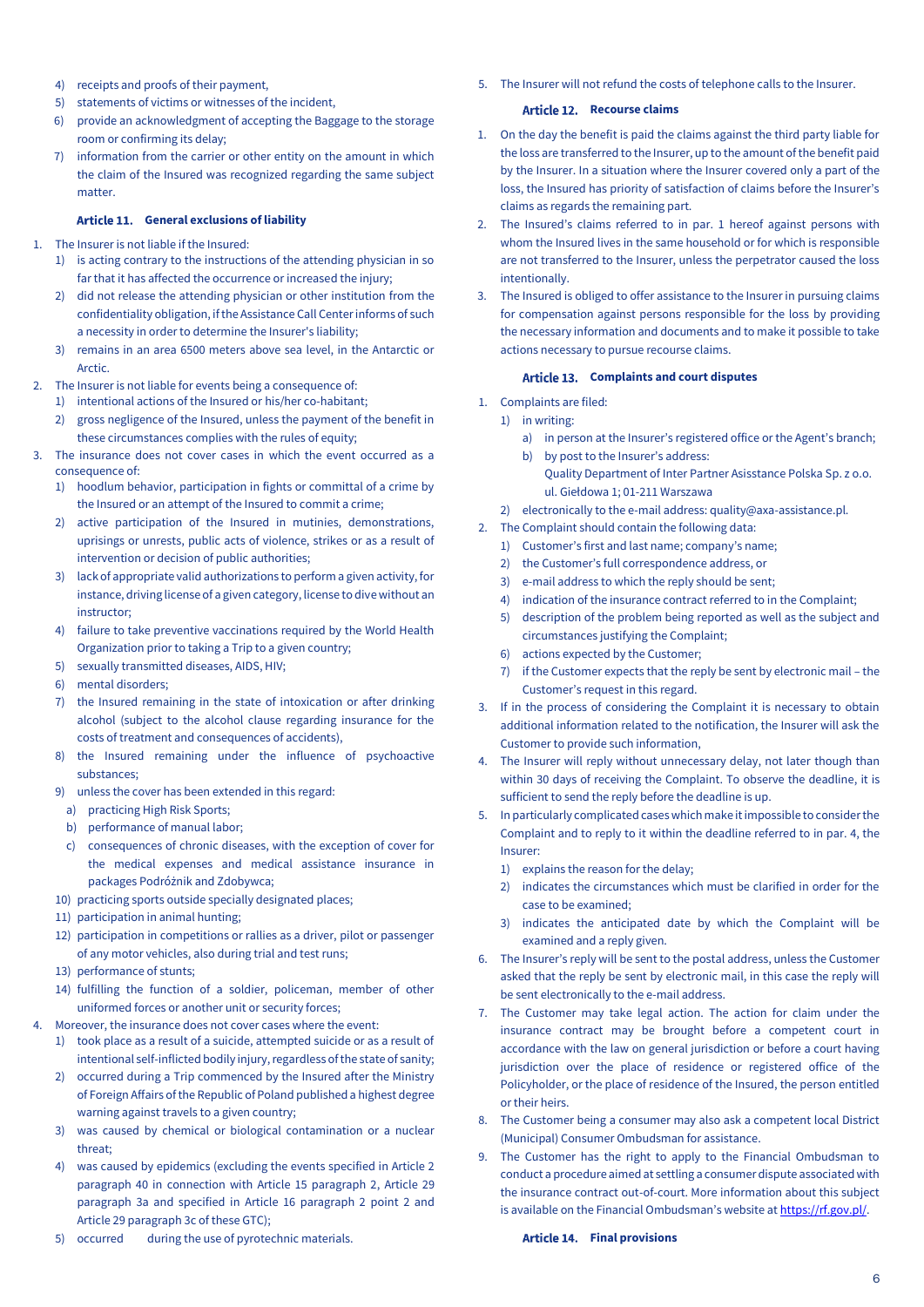- 4) receipts and proofs of their payment,
- 5) statements of victims or witnesses of the incident,
- 6) provide an acknowledgment of accepting the Baggage to the storage room or confirming its delay;
- 7) information from the carrier or other entity on the amount in which the claim of the Insured was recognized regarding the same subject matter.

#### **General exclusions of liability**

- <span id="page-5-0"></span>1. The Insurer is not liable if the Insured:
	- 1) is acting contrary to the instructions of the attending physician in so far that it has affected the occurrence or increased the injury;
	- 2) did not release the attending physician or other institution from the confidentiality obligation, if the Assistance Call Center informs of such a necessity in order to determine the Insurer's liability;
	- 3) remains in an area 6500 meters above sea level, in the Antarctic or Arctic.
- 2. The Insurer is not liable for events being a consequence of:
	- 1) intentional actions of the Insured or his/her co-habitant;
	- 2) gross negligence of the Insured, unless the payment of the benefit in these circumstances complies with the rules of equity;
- 3. The insurance does not cover cases in which the event occurred as a consequence of:
	- 1) hoodlum behavior, participation in fights or committal of a crime by the Insured or an attempt of the Insured to commit a crime;
	- 2) active participation of the Insured in mutinies, demonstrations, uprisings or unrests, public acts of violence, strikes or as a result of intervention or decision of public authorities;
	- 3) lack of appropriate valid authorizations to perform a given activity, for instance, driving license of a given category, license to dive without an instructor;
	- 4) failure to take preventive vaccinations required by the World Health Organization prior to taking a Trip to a given country;
	- 5) sexually transmitted diseases, AIDS, HIV;
	- 6) mental disorders;
	- 7) the Insured remaining in the state of intoxication or after drinking alcohol (subject to the alcohol clause regarding insurance for the costs of treatment and consequences of accidents),
	- 8) the Insured remaining under the influence of psychoactive substances;
	- 9) unless the cover has been extended in this regard:
	- a) practicing High Risk Sports;
	- b) performance of manual labor;
	- c) consequences of chronic diseases, with the exception of cover for the medical expenses and medical assistance insurance in packages Podróżnik and Zdobywca;
	- 10) practicing sports outside specially designated places;
	- 11) participation in animal hunting;
	- 12) participation in competitions or rallies as a driver, pilot or passenger of any motor vehicles, also during trial and test runs;
	- 13) performance of stunts:
	- 14) fulfilling the function of a soldier, policeman, member of other uniformed forces or another unit or security forces;
- 4. Moreover, the insurance does not cover cases where the event:
	- 1) took place as a result of a suicide, attempted suicide or as a result of intentional self-inflicted bodily injury, regardless of the state of sanity;
	- 2) occurred during a Trip commenced by the Insured after the Ministry of Foreign Affairs of the Republic of Poland published a highest degree warning against travels to a given country;
	- 3) was caused by chemical or biological contamination or a nuclear threat;
	- 4) was caused by epidemics (excluding the events specified in Article 2 paragraph 40 in connection with Article 15 paragraph 2, Article 29 paragraph 3a and specified in Article 16 paragraph 2 point 2 and Article 29 paragraph 3c of these GTC);
	- 5) occurred during the use of pyrotechnic materials.

<span id="page-5-1"></span>5. The Insurer will not refund the costs of telephone calls to the Insurer.

#### Article 12. Recourse claims

- 1. On the day the benefit is paid the claims against the third party liable for the loss are transferred to the Insurer, up to the amount of the benefit paid by the Insurer. In a situation where the Insurer covered only a part of the loss, the Insured has priority of satisfaction of claims before the Insurer's claims as regards the remaining part.
- 2. The Insured's claims referred to in par. 1 hereof against persons with whom the Insured lives in the same household or for which is responsible are not transferred to the Insurer, unless the perpetrator caused the loss intentionally.
- 3. The Insured is obliged to offer assistance to the Insurer in pursuing claims for compensation against persons responsible for the loss by providing the necessary information and documents and to make it possible to take actions necessary to pursue recourse claims.

#### Article 13. Complaints and court disputes

- <span id="page-5-2"></span>1. Complaints are filed:
- 1) in writing:
	- a) in person at the Insurer's registered office or the Agent's branch;
	- b) by post to the Insurer's address: Quality Department of Inter Partner Asisstance Polska Sp. z o.o. ul. Giełdowa 1; 01-211 Warszawa
- 2) electronically to the e-mail address: quality@axa-assistance.pl.
- 2. The Complaint should contain the following data:
	- 1) Customer's first and last name; company's name;
	- 2) the Customer's full correspondence address, or
	- 3) e-mail address to which the reply should be sent;
	- 4) indication of the insurance contract referred to in the Complaint;
	- 5) description of the problem being reported as well as the subject and circumstances justifying the Complaint;
	- 6) actions expected by the Customer;
	- 7) if the Customer expects that the reply be sent by electronic mail the Customer's request in this regard.
- 3. If in the process of considering the Complaint it is necessary to obtain additional information related to the notification, the Insurer will ask the Customer to provide such information,
- 4. The Insurer will reply without unnecessary delay, not later though than within 30 days of receiving the Complaint. To observe the deadline, it is sufficient to send the reply before the deadline is up.
- 5. In particularly complicated cases which make it impossible to consider the Complaint and to reply to it within the deadline referred to in par. 4, the Insurer:
	- 1) explains the reason for the delay;
	- 2) indicates the circumstances which must be clarified in order for the case to be examined;
	- 3) indicates the anticipated date by which the Complaint will be examined and a reply given.
- 6. The Insurer's reply will be sent to the postal address, unless the Customer asked that the reply be sent by electronic mail, in this case the reply will be sent electronically to the e-mail address.
- 7. The Customer may take legal action. The action for claim under the insurance contract may be brought before a competent court in accordance with the law on general jurisdiction or before a court having jurisdiction over the place of residence or registered office of the Policyholder, or the place of residence of the Insured, the person entitled or their heirs.
- 8. The Customer being a consumer may also ask a competent local District (Municipal) Consumer Ombudsman for assistance.
- 9. The Customer has the right to apply to the Financial Ombudsman to conduct a procedure aimed at settling a consumer dispute associated with the insurance contract out-of-court. More information about this subject is available on the Financial Ombudsman's website at https://rf.gov.pl/.

#### <span id="page-5-3"></span>**Article 14. Final provisions**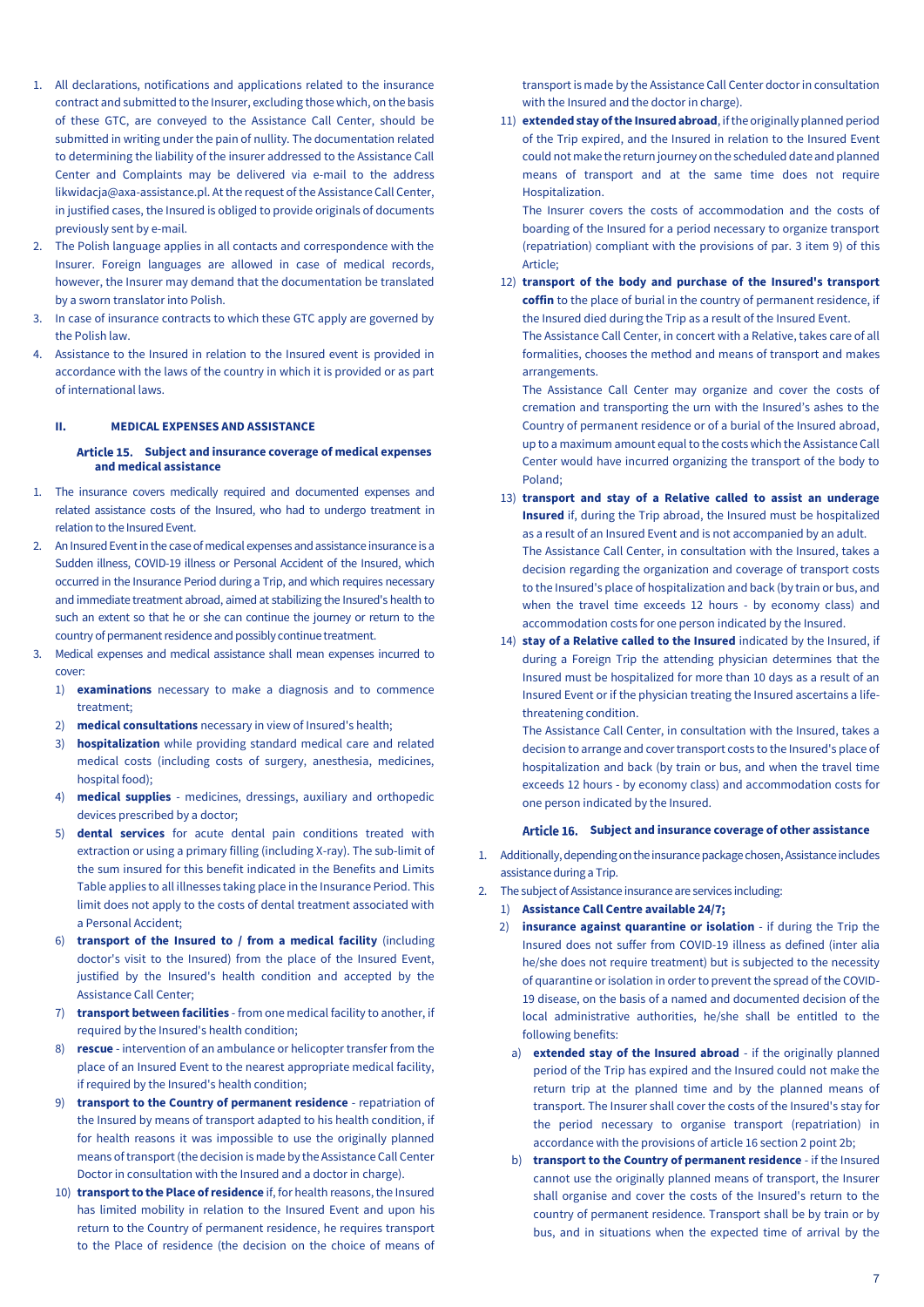- 1. All declarations, notifications and applications related to the insurance contract and submitted to the Insurer, excluding those which, on the basis of these GTC, are conveyed to the Assistance Call Center, should be submitted in writing under the pain of nullity. The documentation related to determining the liability of the insurer addressed to the Assistance Call Center and Complaints may be delivered via e-mail to the address likwidacja@axa-assistance.pl. At the request of the Assistance Call Center, in justified cases, the Insured is obliged to provide originals of documents previously sent by e-mail.
- 2. The Polish language applies in all contacts and correspondence with the Insurer. Foreign languages are allowed in case of medical records, however, the Insurer may demand that the documentation be translated by a sworn translator into Polish.
- 3. In case of insurance contracts to which these GTC apply are governed by the Polish law.
- 4. Assistance to the Insured in relation to the Insured event is provided in accordance with the laws of the country in which it is provided or as part of international laws.

#### <span id="page-6-1"></span><span id="page-6-0"></span>**II. MEDICAL EXPENSES AND ASSISTANCE**

### **Subject and insurance coverage of medical expenses and medical assistance**

- 1. The insurance covers medically required and documented expenses and related assistance costs of the Insured, who had to undergo treatment in relation to the Insured Event.
- 2. An Insured Event in the case of medical expenses and assistance insurance is a Sudden illness, COVID-19 illness or Personal Accident of the Insured, which occurred in the Insurance Period during a Trip, and which requires necessary and immediate treatment abroad, aimed at stabilizing the Insured's health to such an extent so that he or she can continue the journey or return to the country of permanent residence and possibly continue treatment.
- 3. Medical expenses and medical assistance shall mean expenses incurred to cover:
	- 1) **examinations** necessary to make a diagnosis and to commence treatment;
	- 2) **medical consultations** necessary in view of Insured's health;
	- 3) **hospitalization** while providing standard medical care and related medical costs (including costs of surgery, anesthesia, medicines, hospital food);
	- 4) **medical supplies** medicines, dressings, auxiliary and orthopedic devices prescribed by a doctor;
	- 5) **dental services** for acute dental pain conditions treated with extraction or using a primary filling (including X-ray). The sub-limit of the sum insured for this benefit indicated in the Benefits and Limits Table applies to all illnesses taking place in the Insurance Period. This limit does not apply to the costs of dental treatment associated with a Personal Accident;
	- 6) **transport of the Insured to / from a medical facility** (including doctor's visit to the Insured) from the place of the Insured Event, justified by the Insured's health condition and accepted by the Assistance Call Center;
	- 7) **transport between facilities** from one medical facility to another, if required by the Insured's health condition;
	- 8) **rescue** intervention of an ambulance or helicopter transfer from the place of an Insured Event to the nearest appropriate medical facility, if required by the Insured's health condition;
	- 9) **transport to the Country of permanent residence** repatriation of the Insured by means of transport adapted to his health condition, if for health reasons it was impossible to use the originally planned means of transport (the decision is made by the Assistance Call Center Doctor in consultation with the Insured and a doctor in charge).
	- 10) **transport to the Place of residence** if, for health reasons, the Insured has limited mobility in relation to the Insured Event and upon his return to the Country of permanent residence, he requires transport to the Place of residence (the decision on the choice of means of

transport is made by the Assistance Call Center doctor in consultation with the Insured and the doctor in charge).

11) **extended stay of the Insured abroad**, if the originally planned period of the Trip expired, and the Insured in relation to the Insured Event could not make the return journey on the scheduled date and planned means of transport and at the same time does not require Hospitalization.

The Insurer covers the costs of accommodation and the costs of boarding of the Insured for a period necessary to organize transport (repatriation) compliant with the provisions of par. 3 item 9) of this Article;

12) **transport of the body and purchase of the Insured's transport coffin** to the place of burial in the country of permanent residence, if the Insured died during the Trip as a result of the Insured Event. The Assistance Call Center, in concert with a Relative, takes care of all formalities, chooses the method and means of transport and makes arrangements.

The Assistance Call Center may organize and cover the costs of cremation and transporting the urn with the Insured's ashes to the Country of permanent residence or of a burial of the Insured abroad, up to a maximum amount equal to the costs which the Assistance Call Center would have incurred organizing the transport of the body to Poland;

- 13) **transport and stay of a Relative called to assist an underage Insured** if, during the Trip abroad, the Insured must be hospitalized as a result of an Insured Event and is not accompanied by an adult. The Assistance Call Center, in consultation with the Insured, takes a decision regarding the organization and coverage of transport costs to the Insured's place of hospitalization and back (by train or bus, and when the travel time exceeds 12 hours - by economy class) and accommodation costs for one person indicated by the Insured. 14) **stay of a Relative called to the Insured** indicated by the Insured, if
- during a Foreign Trip the attending physician determines that the Insured must be hospitalized for more than 10 days as a result of an Insured Event or if the physician treating the Insured ascertains a lifethreatening condition.

The Assistance Call Center, in consultation with the Insured, takes a decision to arrange and cover transport costs to the Insured's place of hospitalization and back (by train or bus, and when the travel time exceeds 12 hours - by economy class) and accommodation costs for one person indicated by the Insured.

#### **Subject and insurance coverage of other assistance**

- <span id="page-6-2"></span>1. Additionally, depending on the insurance package chosen, Assistance includes assistance during a Trip.
- 2. The subject of Assistance insurance are services including:
	- 1) **Assistance Call Centre available 24/7;**
	- 2) **insurance against quarantine or isolation**  if during the Trip the Insured does not suffer from COVID-19 illness as defined (inter alia he/she does not require treatment) but is subjected to the necessity of quarantine or isolation in order to prevent the spread of the COVID-19 disease, on the basis of a named and documented decision of the local administrative authorities, he/she shall be entitled to the following benefits:
		- a) **extended stay of the Insured abroad** if the originally planned period of the Trip has expired and the Insured could not make the return trip at the planned time and by the planned means of transport. The Insurer shall cover the costs of the Insured's stay for the period necessary to organise transport (repatriation) in accordance with the provisions of article 16 section 2 point 2b;
	- b) **transport to the Country of permanent residence** if the Insured cannot use the originally planned means of transport, the Insurer shall organise and cover the costs of the Insured's return to the country of permanent residence. Transport shall be by train or by bus, and in situations when the expected time of arrival by the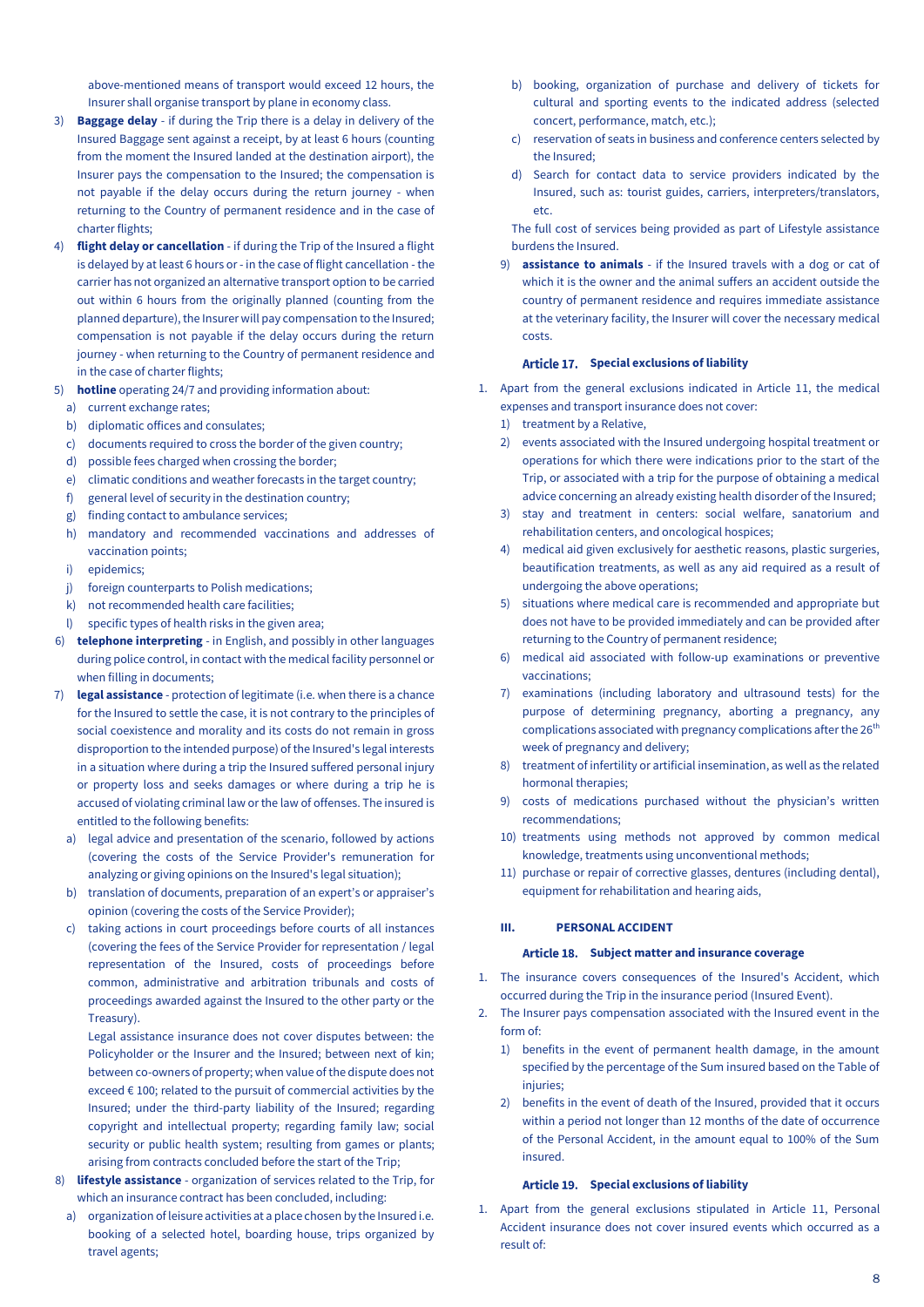above-mentioned means of transport would exceed 12 hours, the Insurer shall organise transport by plane in economy class.

- 3) **Baggage delay**  if during the Trip there is a delay in delivery of the Insured Baggage sent against a receipt, by at least 6 hours (counting from the moment the Insured landed at the destination airport), the Insurer pays the compensation to the Insured; the compensation is not payable if the delay occurs during the return journey - when returning to the Country of permanent residence and in the case of charter flights;
- 4) **flight delay or cancellation**  if during the Trip of the Insured a flight is delayed by at least 6 hours or - in the case of flight cancellation - the carrier has not organized an alternative transport option to be carried out within 6 hours from the originally planned (counting from the planned departure), the Insurer will pay compensation to the Insured; compensation is not payable if the delay occurs during the return journey - when returning to the Country of permanent residence and in the case of charter flights;
- 5) **hotline** operating 24/7 and providing information about:
	- a) current exchange rates;
	- b) diplomatic offices and consulates;
	- c) documents required to cross the border of the given country;
	- d) possible fees charged when crossing the border;
	- e) climatic conditions and weather forecasts in the target country;
	- f) general level of security in the destination country;
	- g) finding contact to ambulance services;
	- h) mandatory and recommended vaccinations and addresses of vaccination points;
	- i) epidemics;
	- j) foreign counterparts to Polish medications;
	- k) not recommended health care facilities;
	- l) specific types of health risks in the given area;
- 6) **telephone interpreting** in English, and possibly in other languages during police control, in contact with the medical facility personnel or when filling in documents;
- 7) **legal assistance** protection of legitimate (i.e. when there is a chance for the Insured to settle the case, it is not contrary to the principles of social coexistence and morality and its costs do not remain in gross disproportion to the intended purpose) of the Insured's legal interests in a situation where during a trip the Insured suffered personal injury or property loss and seeks damages or where during a trip he is accused of violating criminal law or the law of offenses. The insured is entitled to the following benefits:
	- a) legal advice and presentation of the scenario, followed by actions (covering the costs of the Service Provider's remuneration for analyzing or giving opinions on the Insured's legal situation);
	- b) translation of documents, preparation of an expert's or appraiser's opinion (covering the costs of the Service Provider);
	- c) taking actions in court proceedings before courts of all instances (covering the fees of the Service Provider for representation / legal representation of the Insured, costs of proceedings before common, administrative and arbitration tribunals and costs of proceedings awarded against the Insured to the other party or the Treasury).

Legal assistance insurance does not cover disputes between: the Policyholder or the Insurer and the Insured; between next of kin; between co-owners of property; when value of the dispute does not exceed € 100; related to the pursuit of commercial activities by the Insured; under the third-party liability of the Insured; regarding copyright and intellectual property; regarding family law; social security or public health system; resulting from games or plants; arising from contracts concluded before the start of the Trip;

- 8) **lifestyle assistance** organization of services related to the Trip, for which an insurance contract has been concluded, including:
	- a) organization of leisure activities at a place chosen by the Insured i.e. booking of a selected hotel, boarding house, trips organized by travel agents;
- b) booking, organization of purchase and delivery of tickets for cultural and sporting events to the indicated address (selected concert, performance, match, etc.);
- c) reservation of seats in business and conference centers selected by the Insured;
- d) Search for contact data to service providers indicated by the Insured, such as: tourist guides, carriers, interpreters/translators, etc.

The full cost of services being provided as part of Lifestyle assistance burdens the Insured.

9) **assistance to animals** - if the Insured travels with a dog or cat of which it is the owner and the animal suffers an accident outside the country of permanent residence and requires immediate assistance at the veterinary facility, the Insurer will cover the necessary medical costs.

#### **Special exclusions of liability**

- 1. Apart from the general exclusions indicated in Article 11, the medical expenses and transport insurance does not cover:
	- 1) treatment by a Relative,
	- 2) events associated with the Insured undergoing hospital treatment or operations for which there were indications prior to the start of the Trip, or associated with a trip for the purpose of obtaining a medical advice concerning an already existing health disorder of the Insured;
	- 3) stay and treatment in centers: social welfare, sanatorium and rehabilitation centers, and oncological hospices;
	- 4) medical aid given exclusively for aesthetic reasons, plastic surgeries, beautification treatments, as well as any aid required as a result of undergoing the above operations;
	- 5) situations where medical care is recommended and appropriate but does not have to be provided immediately and can be provided after returning to the Country of permanent residence;
	- 6) medical aid associated with follow-up examinations or preventive vaccinations;
	- 7) examinations (including laboratory and ultrasound tests) for the purpose of determining pregnancy, aborting a pregnancy, any complications associated with pregnancy complications after the 26<sup>th</sup> week of pregnancy and delivery;
	- 8) treatment of infertility or artificial insemination, as well as the related hormonal therapies;
	- 9) costs of medications purchased without the physician's written recommendations;
	- 10) treatments using methods not approved by common medical knowledge, treatments using unconventional methods;
	- 11) purchase or repair of corrective glasses, dentures (including dental), equipment for rehabilitation and hearing aids,

#### <span id="page-7-0"></span>**III. PERSONAL ACCIDENT**

#### Article 18. Subject matter and insurance coverage

- <span id="page-7-1"></span>1. The insurance covers consequences of the Insured's Accident, which occurred during the Trip in the insurance period (Insured Event).
- 2. The Insurer pays compensation associated with the Insured event in the form of:
	- 1) benefits in the event of permanent health damage, in the amount specified by the percentage of the Sum insured based on the Table of injuries;
	- 2) benefits in the event of death of the Insured, provided that it occurs within a period not longer than 12 months of the date of occurrence of the Personal Accident, in the amount equal to 100% of the Sum insured.

#### **Special exclusions of liability**

<span id="page-7-2"></span>1. Apart from the general exclusions stipulated in Article 11, Personal Accident insurance does not cover insured events which occurred as a result of: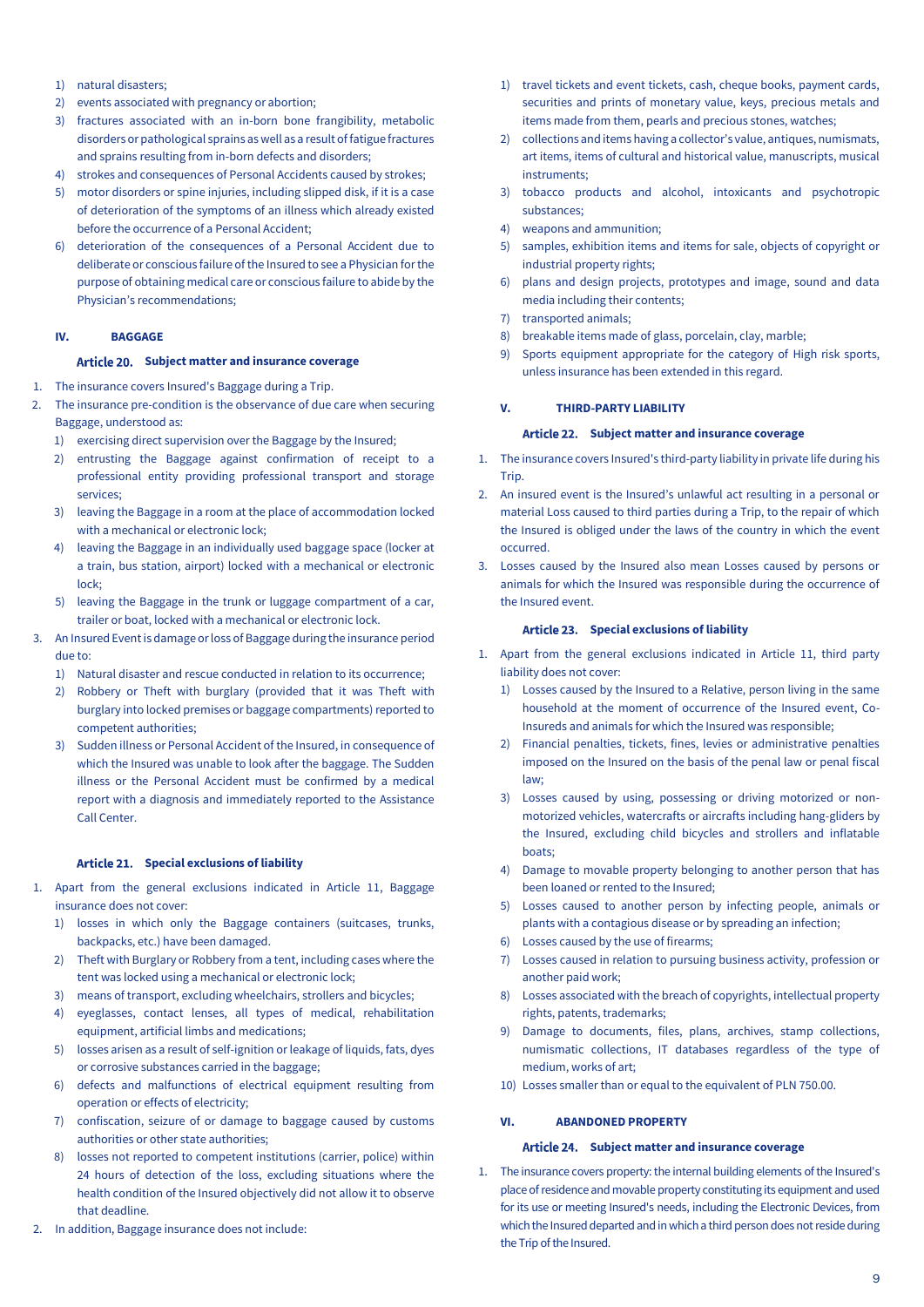- 1) natural disasters;
- 2) events associated with pregnancy or abortion;
- 3) fractures associated with an in-born bone frangibility, metabolic disorders or pathological sprains as well as a result of fatigue fractures and sprains resulting from in-born defects and disorders;
- 4) strokes and consequences of Personal Accidents caused by strokes;
- 5) motor disorders or spine injuries, including slipped disk, if it is a case of deterioration of the symptoms of an illness which already existed before the occurrence of a Personal Accident;
- 6) deterioration of the consequences of a Personal Accident due to deliberate or conscious failure of the Insured to see a Physician for the purpose of obtaining medical care or conscious failure to abide by the Physician's recommendations;

#### <span id="page-8-0"></span>**IV. BAGGAGE**

#### **Subject matter and insurance coverage**

- <span id="page-8-1"></span>1. The insurance covers Insured's Baggage during a Trip.
- 2. The insurance pre-condition is the observance of due care when securing Baggage, understood as:
	- 1) exercising direct supervision over the Baggage by the Insured;
	- 2) entrusting the Baggage against confirmation of receipt to a professional entity providing professional transport and storage services;
	- 3) leaving the Baggage in a room at the place of accommodation locked with a mechanical or electronic lock;
	- 4) leaving the Baggage in an individually used baggage space (locker at a train, bus station, airport) locked with a mechanical or electronic lock;
	- 5) leaving the Baggage in the trunk or luggage compartment of a car, trailer or boat, locked with a mechanical or electronic lock.
- 3. An Insured Event is damage or loss of Baggage during the insurance period due to:
	- 1) Natural disaster and rescue conducted in relation to its occurrence;
	- 2) Robbery or Theft with burglary (provided that it was Theft with burglary into locked premises or baggage compartments) reported to competent authorities;
	- 3) Sudden illness or Personal Accident of the Insured, in consequence of which the Insured was unable to look after the baggage. The Sudden illness or the Personal Accident must be confirmed by a medical report with a diagnosis and immediately reported to the Assistance Call Center.

### **Special exclusions of liability**

- <span id="page-8-2"></span>1. Apart from the general exclusions indicated in Article 11, Baggage insurance does not cover:
	- 1) losses in which only the Baggage containers (suitcases, trunks, backpacks, etc.) have been damaged.
	- 2) Theft with Burglary or Robbery from a tent, including cases where the tent was locked using a mechanical or electronic lock;
	- 3) means of transport, excluding wheelchairs, strollers and bicycles;
	- 4) eyeglasses, contact lenses, all types of medical, rehabilitation equipment, artificial limbs and medications;
	- 5) losses arisen as a result of self-ignition or leakage of liquids, fats, dyes or corrosive substances carried in the baggage;
	- 6) defects and malfunctions of electrical equipment resulting from operation or effects of electricity;
	- 7) confiscation, seizure of or damage to baggage caused by customs authorities or other state authorities;
	- 8) losses not reported to competent institutions (carrier, police) within 24 hours of detection of the loss, excluding situations where the health condition of the Insured objectively did not allow it to observe that deadline.
- 2. In addition, Baggage insurance does not include:
- 1) travel tickets and event tickets, cash, cheque books, payment cards, securities and prints of monetary value, keys, precious metals and items made from them, pearls and precious stones, watches;
- 2) collections and items having a collector's value, antiques, numismats, art items, items of cultural and historical value, manuscripts, musical instruments;
- 3) tobacco products and alcohol, intoxicants and psychotropic substances;
- 4) weapons and ammunition;
- 5) samples, exhibition items and items for sale, objects of copyright or industrial property rights;
- 6) plans and design projects, prototypes and image, sound and data media including their contents;
- 7) transported animals;
- 8) breakable items made of glass, porcelain, clay, marble;
- 9) Sports equipment appropriate for the category of High risk sports, unless insurance has been extended in this regard.

#### <span id="page-8-3"></span>**V. THIRD-PARTY LIABILITY**

#### **Subject matter and insurance coverage**

- <span id="page-8-4"></span>1. The insurance covers Insured's third-party liability in private life during his **Trin**
- 2. An insured event is the Insured's unlawful act resulting in a personal or material Loss caused to third parties during a Trip, to the repair of which the Insured is obliged under the laws of the country in which the event occurred.
- Losses caused by the Insured also mean Losses caused by persons or animals for which the Insured was responsible during the occurrence of the Insured event.

#### **Special exclusions of liability**

- <span id="page-8-5"></span>1. Apart from the general exclusions indicated in Article 11, third party liability does not cover:
	- 1) Losses caused by the Insured to a Relative, person living in the same household at the moment of occurrence of the Insured event, Co-Insureds and animals for which the Insured was responsible;
	- 2) Financial penalties, tickets, fines, levies or administrative penalties imposed on the Insured on the basis of the penal law or penal fiscal law;
	- 3) Losses caused by using, possessing or driving motorized or nonmotorized vehicles, watercrafts or aircrafts including hang-gliders by the Insured, excluding child bicycles and strollers and inflatable boats;
	- 4) Damage to movable property belonging to another person that has been loaned or rented to the Insured;
	- 5) Losses caused to another person by infecting people, animals or plants with a contagious disease or by spreading an infection;
	- 6) Losses caused by the use of firearms;
	- 7) Losses caused in relation to pursuing business activity, profession or another paid work;
	- 8) Losses associated with the breach of copyrights, intellectual property rights, patents, trademarks;
	- 9) Damage to documents, files, plans, archives, stamp collections, numismatic collections, IT databases regardless of the type of medium, works of art;
	- 10) Losses smaller than or equal to the equivalent of PLN 750.00.

#### <span id="page-8-6"></span>**VI. ABANDONED PROPERTY**

#### **Subject matter and insurance coverage**

<span id="page-8-7"></span>1. The insurance covers property: the internal building elements ofthe Insured's place of residence and movable property constituting its equipment and used for its use or meeting Insured's needs, including the Electronic Devices, from which the Insured departed and in which a third person does not reside during the Trip of the Insured.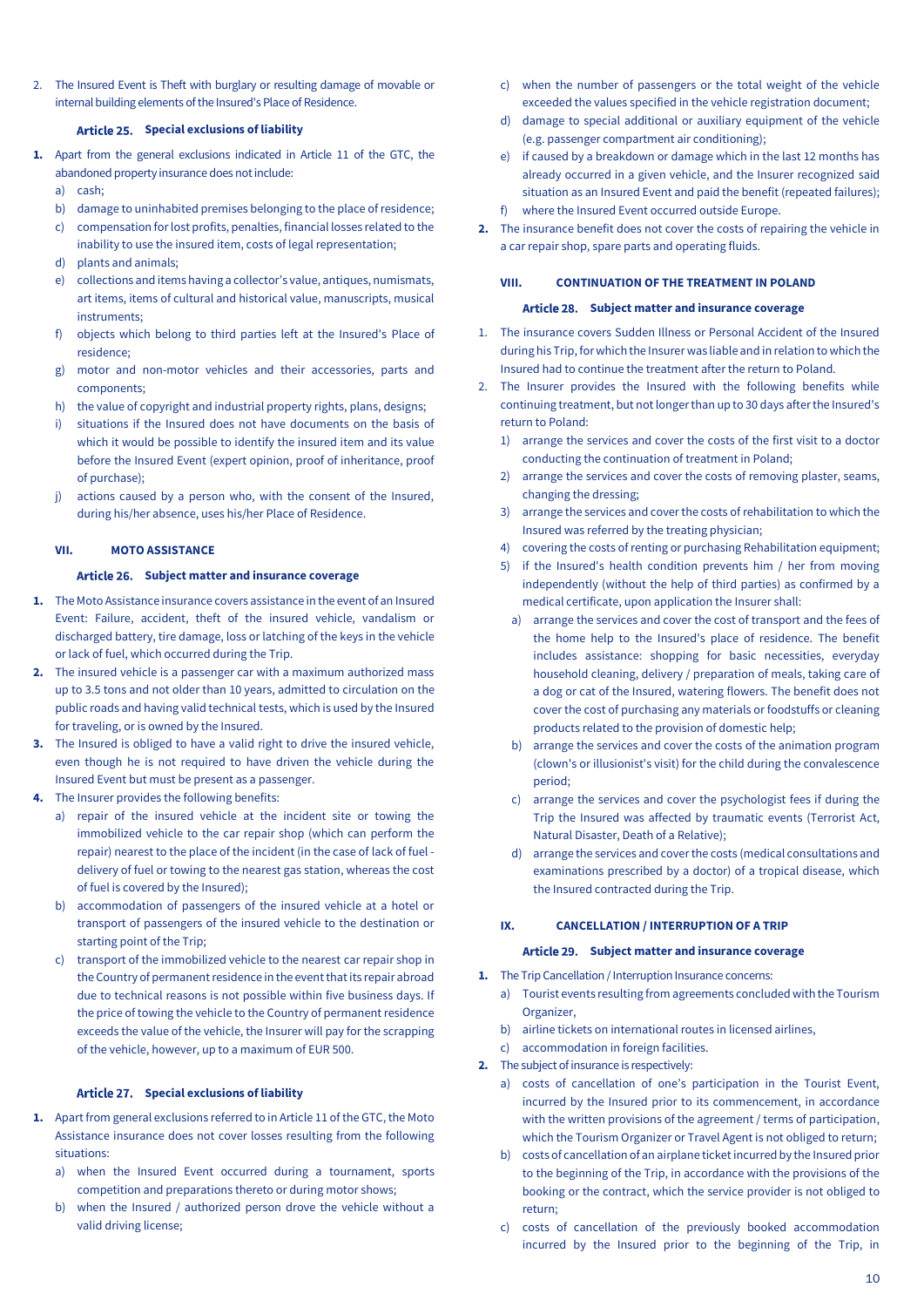<span id="page-9-0"></span>2. The Insured Event is Theft with burglary or resulting damage of movable or internal building elements of the Insured's Place of Residence.

#### **Special exclusions of liability**

- **1.** Apart from the general exclusions indicated in Article 11 of the GTC, the abandoned property insurance does not include:
	- a) cash;
	- b) damage to uninhabited premises belonging to the place of residence;
	- c) compensation for lost profits, penalties, financial losses related to the inability to use the insured item, costs of legal representation;
	- d) plants and animals;
	- e) collections and items having a collector's value, antiques, numismats, art items, items of cultural and historical value, manuscripts, musical instruments;
	- f) objects which belong to third parties left at the Insured's Place of residence;
	- g) motor and non-motor vehicles and their accessories, parts and components;
	- h) the value of copyright and industrial property rights, plans, designs;
	- i) situations if the Insured does not have documents on the basis of which it would be possible to identify the insured item and its value before the Insured Event (expert opinion, proof of inheritance, proof of purchase);
	- j) actions caused by a person who, with the consent of the Insured, during his/her absence, uses his/her Place of Residence.

### <span id="page-9-1"></span>**VII. MOTO ASSISTANCE**

#### Article 26. Subject matter and insurance coverage

- <span id="page-9-2"></span>**1.** The Moto Assistance insurance covers assistance in the event of an Insured Event: Failure, accident, theft of the insured vehicle, vandalism or discharged battery, tire damage, loss or latching of the keys in the vehicle or lack of fuel, which occurred during the Trip.
- **2.** The insured vehicle is a passenger car with a maximum authorized mass up to 3.5 tons and not older than 10 years, admitted to circulation on the public roads and having valid technical tests, which is used by the Insured for traveling, or is owned by the Insured.
- **3.** The Insured is obliged to have a valid right to drive the insured vehicle, even though he is not required to have driven the vehicle during the Insured Event but must be present as a passenger.
- **4.** The Insurer provides the following benefits:
	- a) repair of the insured vehicle at the incident site or towing the immobilized vehicle to the car repair shop (which can perform the repair) nearest to the place of the incident (in the case of lack of fuel delivery of fuel or towing to the nearest gas station, whereas the cost of fuel is covered by the Insured);
	- b) accommodation of passengers of the insured vehicle at a hotel or transport of passengers of the insured vehicle to the destination or starting point of the Trip;
	- c) transport of the immobilized vehicle to the nearest car repair shop in the Country of permanent residence in the event that its repair abroad due to technical reasons is not possible within five business days. If the price of towing the vehicle to the Country of permanent residence exceeds the value of the vehicle, the Insurer will pay for the scrapping of the vehicle, however, up to a maximum of EUR 500.

### **Special exclusions of liability**

- <span id="page-9-3"></span>**1.** Apart from general exclusions referred to in Article 11 of the GTC, the Moto Assistance insurance does not cover losses resulting from the following situations:
	- a) when the Insured Event occurred during a tournament, sports competition and preparations thereto or during motor shows;
	- b) when the Insured / authorized person drove the vehicle without a valid driving license;
- c) when the number of passengers or the total weight of the vehicle exceeded the values specified in the vehicle registration document;
- d) damage to special additional or auxiliary equipment of the vehicle (e.g. passenger compartment air conditioning);
- e) if caused by a breakdown or damage which in the last 12 months has already occurred in a given vehicle, and the Insurer recognized said situation as an Insured Event and paid the benefit (repeated failures);
- f) where the Insured Event occurred outside Europe.
- **2.** The insurance benefit does not cover the costs of repairing the vehicle in a car repair shop, spare parts and operating fluids.

#### <span id="page-9-4"></span>**VIII. CONTINUATION OF THE TREATMENT IN POLAND**

#### Article 28. Subject matter and insurance coverage

- <span id="page-9-5"></span>1. The insurance covers Sudden Illness or Personal Accident of the Insured during his Trip, for which the Insurer was liable and in relation to which the Insured had to continue the treatment after the return to Poland.
- 2. The Insurer provides the Insured with the following benefits while continuing treatment, but not longer than up to 30 days after the Insured's return to Poland:
	- 1) arrange the services and cover the costs of the first visit to a doctor conducting the continuation of treatment in Poland;
	- 2) arrange the services and cover the costs of removing plaster, seams, changing the dressing;
	- 3) arrange the services and cover the costs of rehabilitation to which the Insured was referred by the treating physician;
	- 4) covering the costs of renting or purchasing Rehabilitation equipment;
	- 5) if the Insured's health condition prevents him / her from moving independently (without the help of third parties) as confirmed by a medical certificate, upon application the Insurer shall:
		- a) arrange the services and cover the cost of transport and the fees of the home help to the Insured's place of residence. The benefit includes assistance: shopping for basic necessities, everyday household cleaning, delivery / preparation of meals, taking care of a dog or cat of the Insured, watering flowers. The benefit does not cover the cost of purchasing any materials or foodstuffs or cleaning products related to the provision of domestic help;
		- b) arrange the services and cover the costs of the animation program (clown's or illusionist's visit) for the child during the convalescence period;
		- c) arrange the services and cover the psychologist fees if during the Trip the Insured was affected by traumatic events (Terrorist Act, Natural Disaster, Death of a Relative);
		- arrange the services and cover the costs (medical consultations and examinations prescribed by a doctor) of a tropical disease, which the Insured contracted during the Trip.

## <span id="page-9-6"></span>**IX. CANCELLATION / INTERRUPTION OF A TRIP**

#### Article 29. Subject matter and insurance coverage

- <span id="page-9-7"></span>**1.** The Trip Cancellation / Interruption Insurance concerns:
	- a) Tourist events resulting from agreements concluded with the Tourism Organizer,
	- b) airline tickets on international routes in licensed airlines,
	- c) accommodation in foreign facilities.
- **2.** The subject of insurance is respectively:
	- a) costs of cancellation of one's participation in the Tourist Event, incurred by the Insured prior to its commencement, in accordance with the written provisions of the agreement / terms of participation, which the Tourism Organizer or Travel Agent is not obliged to return;
	- b) costs of cancellation of an airplane ticket incurred by the Insured prior to the beginning of the Trip, in accordance with the provisions of the booking or the contract, which the service provider is not obliged to return;
	- c) costs of cancellation of the previously booked accommodation incurred by the Insured prior to the beginning of the Trip, in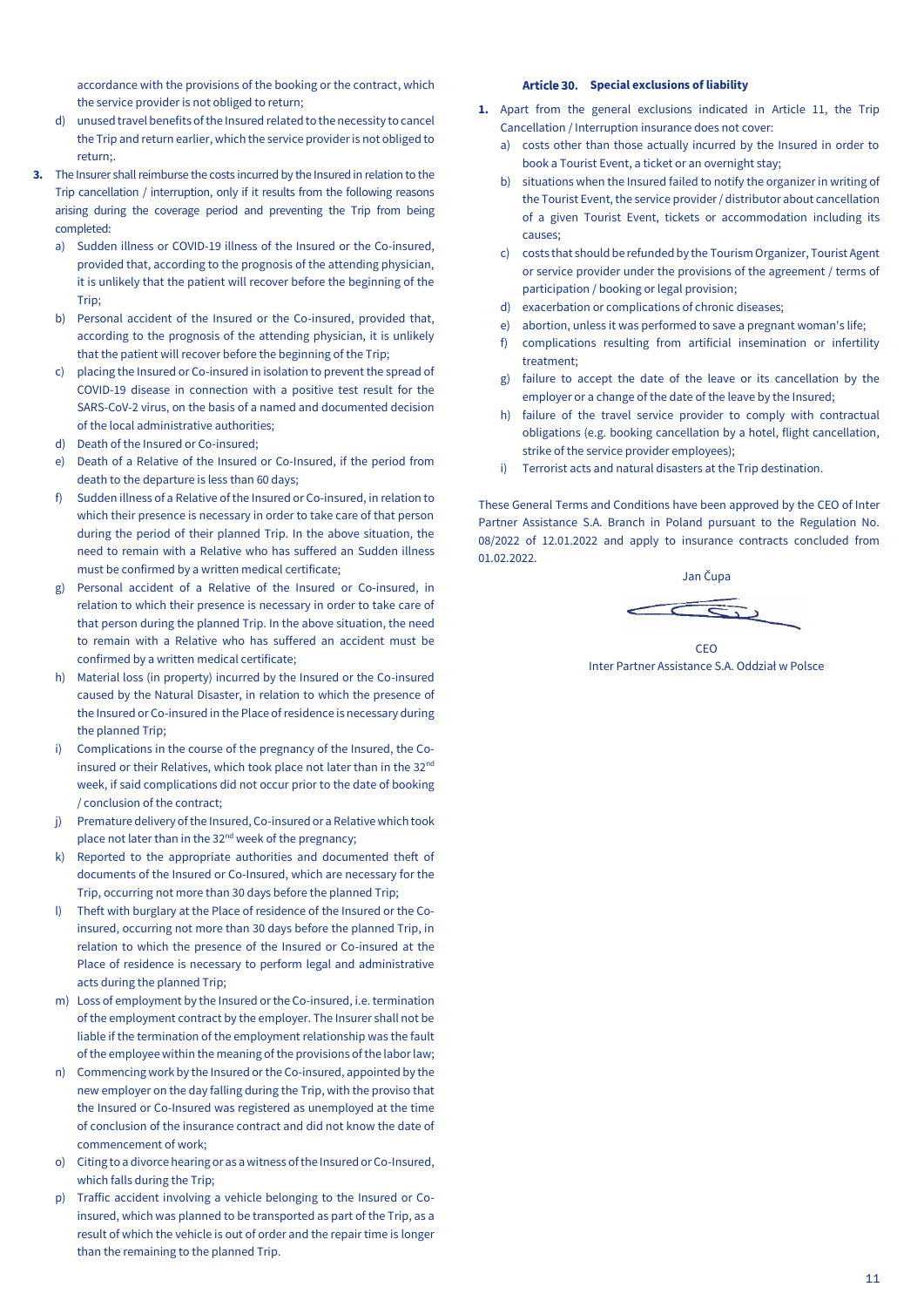accordance with the provisions of the booking or the contract, which the service provider is not obliged to return;

- d) unused travel benefits of the Insured related to the necessity to cancel the Trip and return earlier, which the service provider is not obliged to return;.
- **3.** The Insurer shall reimburse the costs incurred by the Insured in relation to the Trip cancellation / interruption, only if it results from the following reasons arising during the coverage period and preventing the Trip from being completed:
	- a) Sudden illness or COVID-19 illness of the Insured or the Co-insured, provided that, according to the prognosis of the attending physician, it is unlikely that the patient will recover before the beginning of the Trip;
	- b) Personal accident of the Insured or the Co-insured, provided that, according to the prognosis of the attending physician, it is unlikely that the patient will recover before the beginning of the Trip;
	- c) placing the Insured or Co-insured in isolation to prevent the spread of COVID-19 disease in connection with a positive test result for the SARS-CoV-2 virus, on the basis of a named and documented decision of the local administrative authorities;
	- d) Death of the Insured or Co-insured;
	- e) Death of a Relative of the Insured or Co-Insured, if the period from death to the departure is less than 60 days;
	- f) Sudden illness of a Relative of the Insured or Co-insured, in relation to which their presence is necessary in order to take care of that person during the period of their planned Trip. In the above situation, the need to remain with a Relative who has suffered an Sudden illness must be confirmed by a written medical certificate;
	- g) Personal accident of a Relative of the Insured or Co-insured, in relation to which their presence is necessary in order to take care of that person during the planned Trip. In the above situation, the need to remain with a Relative who has suffered an accident must be confirmed by a written medical certificate;
	- h) Material loss (in property) incurred by the Insured or the Co-insured caused by the Natural Disaster, in relation to which the presence of the Insured or Co-insured in the Place of residence is necessary during the planned Trip;
	- i) Complications in the course of the pregnancy of the Insured, the Coinsured or their Relatives, which took place not later than in the  $32<sup>nd</sup>$ week, if said complications did not occur prior to the date of booking / conclusion of the contract;
	- j) Premature delivery of the Insured, Co-insured or a Relative which took place not later than in the 32<sup>nd</sup> week of the pregnancy;
	- k) Reported to the appropriate authorities and documented theft of documents of the Insured or Co-Insured, which are necessary for the Trip, occurring not more than 30 days before the planned Trip;
	- l) Theft with burglary at the Place of residence of the Insured or the Coinsured, occurring not more than 30 days before the planned Trip, in relation to which the presence of the Insured or Co-insured at the Place of residence is necessary to perform legal and administrative acts during the planned Trip;
	- m) Loss of employment by the Insured or the Co-insured, i.e. termination of the employment contract by the employer. The Insurer shall not be liable if the termination of the employment relationship was the fault of the employee within the meaning of the provisions of the labor law;
	- n) Commencing work by the Insured or the Co-insured, appointed by the new employer on the day falling during the Trip, with the proviso that the Insured or Co-Insured was registered as unemployed at the time of conclusion of the insurance contract and did not know the date of commencement of work;
	- o) Citing to a divorce hearing or as a witness of the Insured or Co-Insured, which falls during the Trip;
	- p) Traffic accident involving a vehicle belonging to the Insured or Coinsured, which was planned to be transported as part of the Trip, as a result of which the vehicle is out of order and the repair time is longer than the remaining to the planned Trip.

#### **Special exclusions of liability**

- <span id="page-10-0"></span>**1.** Apart from the general exclusions indicated in Article 11, the Trip Cancellation / Interruption insurance does not cover:
	- a) costs other than those actually incurred by the Insured in order to book a Tourist Event, a ticket or an overnight stay;
	- b) situations when the Insured failed to notify the organizer in writing of the Tourist Event, the service provider / distributor about cancellation of a given Tourist Event, tickets or accommodation including its causes;
	- c) costs that should be refunded by the Tourism Organizer, Tourist Agent or service provider under the provisions of the agreement / terms of participation / booking or legal provision;
	- d) exacerbation or complications of chronic diseases;
	- e) abortion, unless it was performed to save a pregnant woman's life;
	- f) complications resulting from artificial insemination or infertility treatment;
	- g) failure to accept the date of the leave or its cancellation by the employer or a change of the date of the leave by the Insured;
	- h) failure of the travel service provider to comply with contractual obligations (e.g. booking cancellation by a hotel, flight cancellation, strike of the service provider employees);
	- i) Terrorist acts and natural disasters at the Trip destination.

These General Terms and Conditions have been approved by the CEO of Inter Partner Assistance S.A. Branch in Poland pursuant to the Regulation No. 08/2022 of 12.01.2022 and apply to insurance contracts concluded from 01.02.2022.

Jan Čupa

CEO Inter Partner Assistance S.A. Oddział w Polsce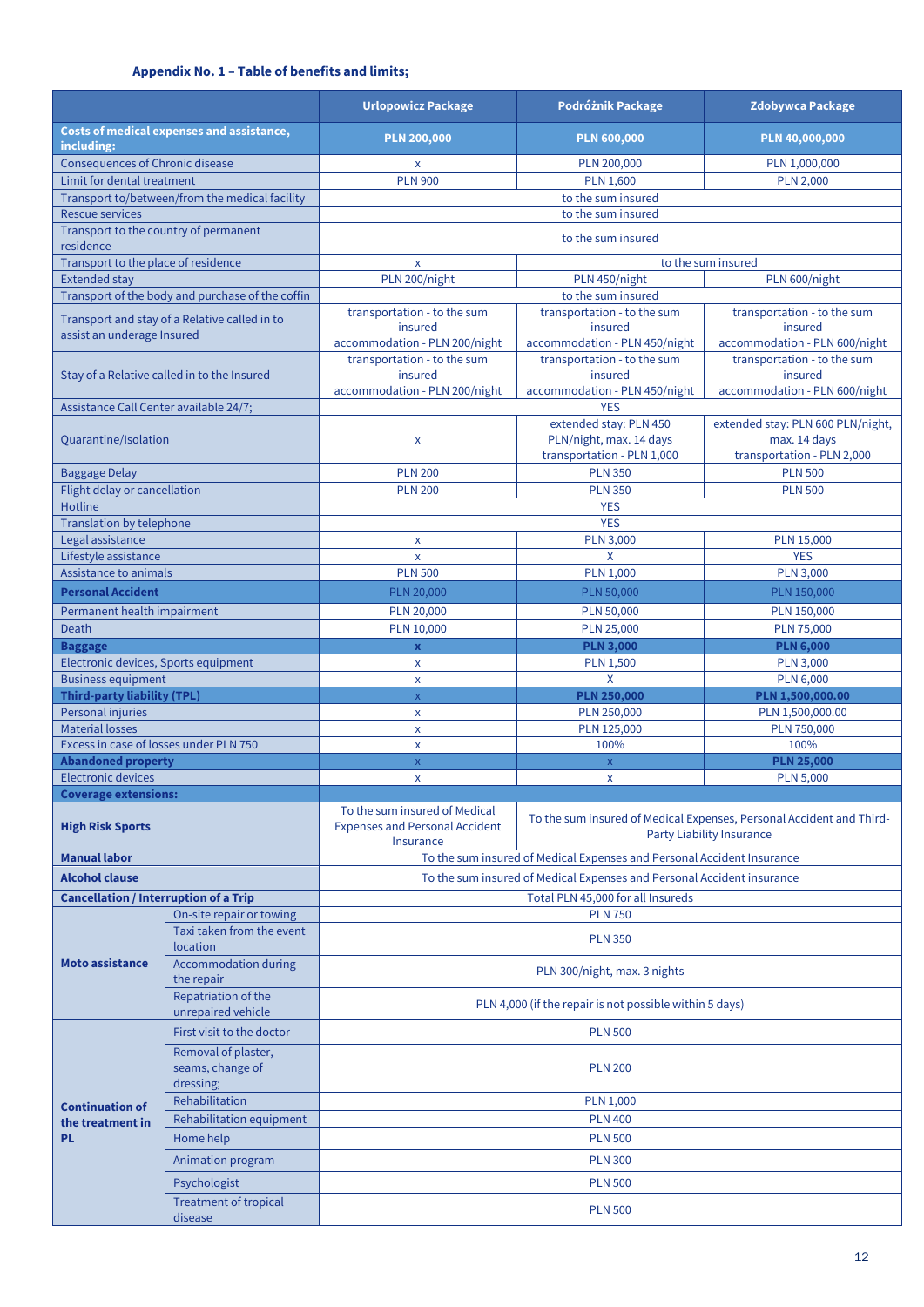# **Appendix No. 1 – Table of benefits and limits;**

<span id="page-11-0"></span>

|                                                                             |                                                      | <b>Urlopowicz Package</b>                                                                                                                          | Podróżnik Package                                                                                 | <b>Zdobywca Package</b>                                                         |  |  |
|-----------------------------------------------------------------------------|------------------------------------------------------|----------------------------------------------------------------------------------------------------------------------------------------------------|---------------------------------------------------------------------------------------------------|---------------------------------------------------------------------------------|--|--|
| including:                                                                  | Costs of medical expenses and assistance,            | <b>PLN 200,000</b>                                                                                                                                 | <b>PLN 600,000</b>                                                                                | PLN 40,000,000                                                                  |  |  |
| <b>Consequences of Chronic disease</b>                                      |                                                      | X                                                                                                                                                  | PLN 200,000                                                                                       | PLN 1,000,000                                                                   |  |  |
| Limit for dental treatment                                                  |                                                      | <b>PLN 900</b><br><b>PLN 1,600</b><br><b>PLN 2,000</b>                                                                                             |                                                                                                   |                                                                                 |  |  |
|                                                                             | Transport to/between/from the medical facility       | to the sum insured                                                                                                                                 |                                                                                                   |                                                                                 |  |  |
| <b>Rescue services</b>                                                      |                                                      | to the sum insured                                                                                                                                 |                                                                                                   |                                                                                 |  |  |
| Transport to the country of permanent<br>residence                          |                                                      |                                                                                                                                                    | to the sum insured                                                                                |                                                                                 |  |  |
| Transport to the place of residence                                         |                                                      | to the sum insured<br>X                                                                                                                            |                                                                                                   |                                                                                 |  |  |
| <b>Extended stay</b>                                                        |                                                      | PLN 200/night                                                                                                                                      | PLN 450/night                                                                                     | PLN 600/night                                                                   |  |  |
|                                                                             | Transport of the body and purchase of the coffin     |                                                                                                                                                    | to the sum insured                                                                                |                                                                                 |  |  |
| Transport and stay of a Relative called in to<br>assist an underage Insured |                                                      | transportation - to the sum<br>insured                                                                                                             | transportation - to the sum<br>insured                                                            | transportation - to the sum<br>insured                                          |  |  |
|                                                                             | Stay of a Relative called in to the Insured          | accommodation - PLN 200/night<br>accommodation - PLN 450/night<br>transportation - to the sum<br>transportation - to the sum<br>insured<br>insured |                                                                                                   | accommodation - PLN 600/night<br>transportation - to the sum<br>insured         |  |  |
|                                                                             |                                                      | accommodation - PLN 200/night                                                                                                                      | accommodation - PLN 450/night                                                                     | accommodation - PLN 600/night                                                   |  |  |
| Assistance Call Center available 24/7;                                      |                                                      |                                                                                                                                                    | <b>YES</b>                                                                                        |                                                                                 |  |  |
| Quarantine/Isolation                                                        |                                                      | $\pmb{\mathsf{X}}$                                                                                                                                 | extended stay: PLN 450<br>PLN/night, max. 14 days<br>transportation - PLN 1,000                   | extended stay: PLN 600 PLN/night,<br>max. 14 days<br>transportation - PLN 2,000 |  |  |
|                                                                             |                                                      |                                                                                                                                                    |                                                                                                   |                                                                                 |  |  |
| <b>Baggage Delay</b><br>Flight delay or cancellation                        |                                                      | <b>PLN 200</b><br><b>PLN 200</b>                                                                                                                   | <b>PLN 350</b><br><b>PLN 350</b>                                                                  | <b>PLN 500</b><br><b>PLN 500</b>                                                |  |  |
| <b>Hotline</b>                                                              |                                                      |                                                                                                                                                    | <b>YES</b>                                                                                        |                                                                                 |  |  |
| Translation by telephone                                                    |                                                      |                                                                                                                                                    | <b>YES</b>                                                                                        |                                                                                 |  |  |
| Legal assistance                                                            |                                                      | X                                                                                                                                                  | <b>PLN 3,000</b>                                                                                  | PLN 15,000                                                                      |  |  |
| Lifestyle assistance                                                        |                                                      | $\pmb{\mathsf{x}}$                                                                                                                                 | X                                                                                                 | <b>YES</b>                                                                      |  |  |
| Assistance to animals                                                       |                                                      | <b>PLN 500</b>                                                                                                                                     | <b>PLN 1,000</b>                                                                                  | <b>PLN 3,000</b>                                                                |  |  |
| <b>Personal Accident</b>                                                    |                                                      | PLN 20,000                                                                                                                                         | PLN 50,000                                                                                        | PLN 150,000                                                                     |  |  |
|                                                                             |                                                      |                                                                                                                                                    |                                                                                                   |                                                                                 |  |  |
| Permanent health impairment                                                 |                                                      | PLN 20,000<br><b>PLN 50,000</b>                                                                                                                    |                                                                                                   | PLN 150,000                                                                     |  |  |
| <b>Death</b>                                                                |                                                      | PLN 10,000<br>PLN 25,000                                                                                                                           |                                                                                                   | PLN 75,000                                                                      |  |  |
| <b>Baggage</b>                                                              |                                                      | <b>PLN 3,000</b><br>$\mathbf x$<br><b>PLN 1,500</b>                                                                                                |                                                                                                   | <b>PLN 6,000</b><br><b>PLN 3,000</b>                                            |  |  |
| Electronic devices, Sports equipment<br><b>Business equipment</b>           |                                                      | X<br>X<br>X                                                                                                                                        |                                                                                                   | <b>PLN 6,000</b>                                                                |  |  |
| <b>Third-party liability (TPL)</b>                                          |                                                      | <b>PLN 250,000</b><br>$\mathsf X$                                                                                                                  |                                                                                                   | PLN 1,500,000.00                                                                |  |  |
| Personal injuries                                                           |                                                      | X                                                                                                                                                  | PLN 250,000                                                                                       | PLN 1,500,000.00                                                                |  |  |
| <b>Material losses</b>                                                      |                                                      | $\pmb{\mathsf{X}}$                                                                                                                                 | PLN 125,000                                                                                       | PLN 750,000                                                                     |  |  |
| Excess in case of losses under PLN 750                                      |                                                      | X                                                                                                                                                  | 100%                                                                                              |                                                                                 |  |  |
| <b>Abandoned property</b>                                                   |                                                      | $\mathsf X$                                                                                                                                        | $\mathsf X$                                                                                       | <b>PLN 25,000</b>                                                               |  |  |
| <b>Electronic devices</b>                                                   |                                                      | $\pmb{\mathsf{x}}$                                                                                                                                 | $\pmb{\mathsf{x}}$                                                                                | <b>PLN 5,000</b>                                                                |  |  |
| <b>Coverage extensions:</b>                                                 |                                                      |                                                                                                                                                    |                                                                                                   |                                                                                 |  |  |
| <b>High Risk Sports</b>                                                     |                                                      | To the sum insured of Medical<br><b>Expenses and Personal Accident</b><br>Insurance                                                                | To the sum insured of Medical Expenses, Personal Accident and Third-<br>Party Liability Insurance |                                                                                 |  |  |
| <b>Manual labor</b>                                                         |                                                      |                                                                                                                                                    | To the sum insured of Medical Expenses and Personal Accident Insurance                            |                                                                                 |  |  |
| <b>Alcohol clause</b>                                                       |                                                      |                                                                                                                                                    | To the sum insured of Medical Expenses and Personal Accident insurance                            |                                                                                 |  |  |
| <b>Cancellation / Interruption of a Trip</b>                                |                                                      |                                                                                                                                                    | Total PLN 45,000 for all Insureds                                                                 |                                                                                 |  |  |
|                                                                             | On-site repair or towing                             |                                                                                                                                                    | <b>PLN 750</b>                                                                                    |                                                                                 |  |  |
|                                                                             | Taxi taken from the event<br>location                |                                                                                                                                                    | <b>PLN 350</b>                                                                                    |                                                                                 |  |  |
| <b>Moto assistance</b>                                                      | <b>Accommodation during</b><br>the repair            | PLN 300/night, max. 3 nights                                                                                                                       |                                                                                                   |                                                                                 |  |  |
|                                                                             | Repatriation of the<br>unrepaired vehicle            | PLN 4,000 (if the repair is not possible within 5 days)                                                                                            |                                                                                                   |                                                                                 |  |  |
|                                                                             | First visit to the doctor                            |                                                                                                                                                    | <b>PLN 500</b>                                                                                    |                                                                                 |  |  |
|                                                                             | Removal of plaster,<br>seams, change of<br>dressing; | <b>PLN 200</b>                                                                                                                                     |                                                                                                   |                                                                                 |  |  |
| <b>Continuation of</b>                                                      | Rehabilitation                                       | <b>PLN 1,000</b>                                                                                                                                   |                                                                                                   |                                                                                 |  |  |
| the treatment in                                                            | Rehabilitation equipment                             |                                                                                                                                                    | <b>PLN 400</b>                                                                                    |                                                                                 |  |  |
| <b>PL</b>                                                                   | Home help                                            |                                                                                                                                                    | <b>PLN 500</b>                                                                                    |                                                                                 |  |  |
|                                                                             | Animation program                                    |                                                                                                                                                    | <b>PLN 300</b>                                                                                    |                                                                                 |  |  |
|                                                                             |                                                      |                                                                                                                                                    |                                                                                                   |                                                                                 |  |  |
|                                                                             | Psychologist<br><b>Treatment of tropical</b>         | <b>PLN 500</b><br><b>PLN 500</b>                                                                                                                   |                                                                                                   |                                                                                 |  |  |
|                                                                             | disease                                              |                                                                                                                                                    |                                                                                                   |                                                                                 |  |  |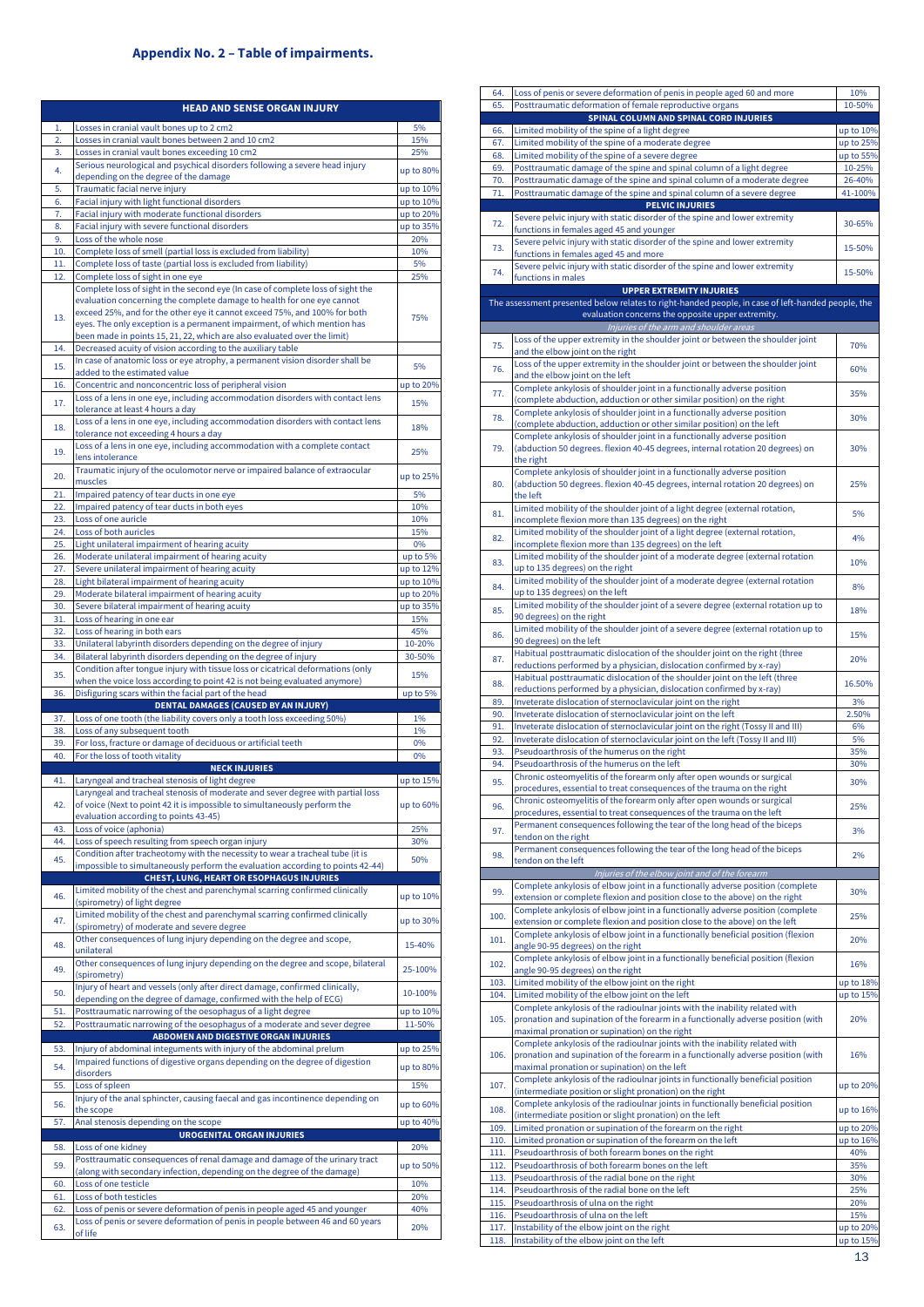# **Appendix No. 2 – Table of impairments.**

<span id="page-12-0"></span>

|            | <b>HEAD AND SENSE ORGAN INJURY</b>                                                                                                                                                                                                |                        |
|------------|-----------------------------------------------------------------------------------------------------------------------------------------------------------------------------------------------------------------------------------|------------------------|
| 1.         | Losses in cranial vault bones up to 2 cm2                                                                                                                                                                                         | 5%                     |
| 2.         | Losses in cranial vault bones between 2 and 10 cm2                                                                                                                                                                                | 15%                    |
| 3.         | Losses in cranial vault bones exceeding 10 cm2<br>Serious neurological and psychical disorders following a severe head injury                                                                                                     | 25%                    |
| 4.         | depending on the degree of the damage                                                                                                                                                                                             | up to 80%              |
| 5.         | Traumatic facial nerve injury                                                                                                                                                                                                     | up to 10%              |
| 6.<br>7.   | Facial injury with light functional disorders<br>Facial injury with moderate functional disorders                                                                                                                                 | up to 10%<br>up to 20% |
| 8.         | Facial injury with severe functional disorders                                                                                                                                                                                    | up to 35%              |
| 9.         | Loss of the whole nose                                                                                                                                                                                                            | 20%                    |
| 10.        | Complete loss of smell (partial loss is excluded from liability)                                                                                                                                                                  | 10%                    |
| 11.<br>12. | Complete loss of taste (partial loss is excluded from liability)<br>Complete loss of sight in one eye                                                                                                                             | 5%<br>25%              |
|            | Complete loss of sight in the second eye (In case of complete loss of sight the<br>evaluation concerning the complete damage to health for one eye cannot                                                                         |                        |
| 13.        | exceed 25%, and for the other eye it cannot exceed 75%, and 100% for both<br>eyes. The only exception is a permanent impairment, of which mention has<br>been made in points 15, 21, 22, which are also evaluated over the limit) | 75%                    |
| 14.        | Decreased acuity of vision according to the auxiliary table                                                                                                                                                                       |                        |
| 15.        | In case of anatomic loss or eye atrophy, a permanent vision disorder shall be<br>added to the estimated value                                                                                                                     | 5%                     |
| 16.        | Concentric and nonconcentric loss of peripheral vision                                                                                                                                                                            | up to 20%              |
| 17.        | Loss of a lens in one eye, including accommodation disorders with contact lens<br>tolerance at least 4 hours a day                                                                                                                | 15%                    |
| 18.        | Loss of a lens in one eye, including accommodation disorders with contact lens<br>tolerance not exceeding 4 hours a day                                                                                                           | 18%                    |
| 19.        | Loss of a lens in one eye, including accommodation with a complete contact<br>lens intolerance                                                                                                                                    | 25%                    |
| 20.        | Traumatic injury of the oculomotor nerve or impaired balance of extraocular<br>muscles                                                                                                                                            | up to 25%              |
| 21.<br>22. | Impaired patency of tear ducts in one eye<br>Impaired patency of tear ducts in both eyes                                                                                                                                          | 5%<br>10%              |
| 23.        | Loss of one auricle                                                                                                                                                                                                               | 10%                    |
| 24.        | Loss of both auricles                                                                                                                                                                                                             | 15%                    |
| 25.        | Light unilateral impairment of hearing acuity                                                                                                                                                                                     | 0%                     |
| 26.        | Moderate unilateral impairment of hearing acuity                                                                                                                                                                                  | up to 5%               |
| 27.<br>28. | Severe unilateral impairment of hearing acuity<br>Light bilateral impairment of hearing acuity                                                                                                                                    | up to 12%<br>up to 10% |
| 29.        | Moderate bilateral impairment of hearing acuity                                                                                                                                                                                   | up to 20%              |
| 30.        | Severe bilateral impairment of hearing acuity                                                                                                                                                                                     | up to 35%              |
| 31.        | Loss of hearing in one ear                                                                                                                                                                                                        | 15%                    |
| 32.        | Loss of hearing in both ears                                                                                                                                                                                                      | 45%                    |
| 33.<br>34. | Unilateral labyrinth disorders depending on the degree of injury<br>Bilateral labyrinth disorders depending on the degree of injury                                                                                               | 10-20%<br>30-50%       |
|            | Condition after tongue injury with tissue loss or cicatrical deformations (only                                                                                                                                                   |                        |
| 35.        | when the voice loss according to point 42 is not being evaluated anymore)                                                                                                                                                         | 15%                    |
| 36.        | Disfiguring scars within the facial part of the head                                                                                                                                                                              | up to 5%               |
| 37.        | <b>DENTAL DAMAGES (CAUSED BY AN INJURY)</b><br>Loss of one tooth (the liability covers only a tooth loss exceeding 50%)                                                                                                           | 1%                     |
| 38.        | Loss of any subsequent tooth                                                                                                                                                                                                      | 1%                     |
| 39.        | For loss, fracture or damage of deciduous or artificial teeth                                                                                                                                                                     | 0%                     |
| 40.        | For the loss of tooth vitality                                                                                                                                                                                                    | 0%                     |
|            | <b>NECK INJURIES</b>                                                                                                                                                                                                              |                        |
| 41.        | Laryngeal and tracheal stenosis of light degree<br>Laryngeal and tracheal stenosis of moderate and sever degree with partial loss                                                                                                 | up to 15%              |
| 42.        | of voice (Next to point 42 it is impossible to simultaneously perform the<br>evaluation according to points 43-45)                                                                                                                | up to 60%              |
| 43.        | Loss of voice (aphonia)                                                                                                                                                                                                           | 25%                    |
| 44.        | Loss of speech resulting from speech organ injury                                                                                                                                                                                 | 30%                    |
| 45.        | Condition after tracheotomy with the necessity to wear a tracheal tube (it is<br>impossible to simultaneously perform the evaluation according to points 42-44)                                                                   | 50%                    |
|            | CHEST, LUNG, HEART OR ESOPHAGUS INJURIES                                                                                                                                                                                          |                        |
| 46.        | Limited mobility of the chest and parenchymal scarring confirmed clinically<br>(spirometry) of light degree                                                                                                                       | up to 10%              |
| 47.        | Limited mobility of the chest and parenchymal scarring confirmed clinically<br>(spirometry) of moderate and severe degree                                                                                                         | up to 30%              |
| 48.        | Other consequences of lung injury depending on the degree and scope,<br>unilateral<br>Other consequences of lung injury depending on the degree and scope, bilateral                                                              | 15-40%                 |
| 49.        | (spirometry)<br>Injury of heart and vessels (only after direct damage, confirmed clinically,                                                                                                                                      | 25-100%                |
| 50.<br>51. | depending on the degree of damage, confirmed with the help of ECG)<br>Posttraumatic narrowing of the oesophagus of a light degree                                                                                                 | 10-100%<br>up to 10%   |
| 52.        | Posttraumatic narrowing of the oesophagus of a moderate and sever degree                                                                                                                                                          | 11-50%                 |
|            | <b>ABDOMEN AND DIGESTIVE ORGAN INJURIES</b>                                                                                                                                                                                       |                        |
| 53.        | Injury of abdominal integuments with injury of the abdominal prelum                                                                                                                                                               | up to 25%              |
| 54.<br>55. | Impaired functions of digestive organs depending on the degree of digestion<br>disorders<br>Loss of spleen                                                                                                                        | up to 80%              |
|            | Injury of the anal sphincter, causing faecal and gas incontinence depending on                                                                                                                                                    | 15%                    |
| 56.        | the scope                                                                                                                                                                                                                         | up to 60%              |
| 57.        | Anal stenosis depending on the scope                                                                                                                                                                                              | up to 40%              |
|            | <b>UROGENITAL ORGAN INJURIES</b>                                                                                                                                                                                                  |                        |
| 58.<br>59. | Loss of one kidney<br>Posttraumatic consequences of renal damage and damage of the urinary tract<br>(along with secondary infection, depending on the degree of the damage)                                                       | 20%<br>up to 50%       |
| 60.        | Loss of one testicle                                                                                                                                                                                                              | 10%                    |
| 61.        | Loss of both testicles                                                                                                                                                                                                            | 20%                    |
| 62.        | Loss of penis or severe deformation of penis in people aged 45 and younger                                                                                                                                                        | 40%                    |
| 63.        | Loss of penis or severe deformation of penis in people between 46 and 60 years<br>of life                                                                                                                                         | 20%                    |

| 65.          | Loss of penis or severe deformation of penis in people aged 60 and more                                                                                   | 10%                    |
|--------------|-----------------------------------------------------------------------------------------------------------------------------------------------------------|------------------------|
|              | Posttraumatic deformation of female reproductive organs                                                                                                   | 10-50%                 |
|              | SPINAL COLUMN AND SPINAL CORD INJURIES                                                                                                                    |                        |
| 66.<br>67.   | Limited mobility of the spine of a light degree<br>Limited mobility of the spine of a moderate degree                                                     | up to 10%<br>up to 25% |
| 68.          | Limited mobility of the spine of a severe degree                                                                                                          | up to 55%              |
| 69.          | Posttraumatic damage of the spine and spinal column of a light degree                                                                                     | 10-25%                 |
| 70.          | Posttraumatic damage of the spine and spinal column of a moderate degree                                                                                  | 26-40%                 |
| 71.          | Posttraumatic damage of the spine and spinal column of a severe degree                                                                                    | 41-100%                |
|              | <b>PELVIC INJURIES</b>                                                                                                                                    |                        |
| 72.          | Severe pelvic injury with static disorder of the spine and lower extremity                                                                                | 30-65%                 |
|              | functions in females aged 45 and younger                                                                                                                  |                        |
| 73.          | Severe pelvic injury with static disorder of the spine and lower extremity<br>functions in females aged 45 and more                                       | 15-50%                 |
|              | Severe pelvic injury with static disorder of the spine and lower extremity                                                                                |                        |
| 74.          | functions in males                                                                                                                                        | 15-50%                 |
|              | <b>UPPER EXTREMITY INJURIES</b>                                                                                                                           |                        |
|              | The assessment presented below relates to right-handed people, in case of left-handed people, the                                                         |                        |
|              | evaluation concerns the opposite upper extremity.                                                                                                         |                        |
|              | Injuries of the arm and shoulder areas                                                                                                                    |                        |
| 75.          | Loss of the upper extremity in the shoulder joint or between the shoulder joint<br>and the elbow joint on the right                                       | 70%                    |
|              | Loss of the upper extremity in the shoulder joint or between the shoulder joint                                                                           |                        |
| 76.          | and the elbow joint on the left                                                                                                                           | 60%                    |
| 77.          | Complete ankylosis of shoulder joint in a functionally adverse position                                                                                   | 35%                    |
|              | (complete abduction, adduction or other similar position) on the right                                                                                    |                        |
| 78.          | Complete ankylosis of shoulder joint in a functionally adverse position                                                                                   | 30%                    |
|              | (complete abduction, adduction or other similar position) on the left                                                                                     |                        |
| 79.          | Complete ankylosis of shoulder joint in a functionally adverse position<br>(abduction 50 degrees. flexion 40-45 degrees, internal rotation 20 degrees) on | 30%                    |
|              | the right                                                                                                                                                 |                        |
|              | Complete ankylosis of shoulder joint in a functionally adverse position                                                                                   |                        |
| 80.          | (abduction 50 degrees. flexion 40-45 degrees, internal rotation 20 degrees) on                                                                            | 25%                    |
|              | the left                                                                                                                                                  |                        |
| 81.          | Limited mobility of the shoulder joint of a light degree (external rotation,                                                                              | 5%                     |
|              | incomplete flexion more than 135 degrees) on the right                                                                                                    |                        |
| 82.          | Limited mobility of the shoulder joint of a light degree (external rotation,<br>incomplete flexion more than 135 degrees) on the left                     | 4%                     |
|              | Limited mobility of the shoulder joint of a moderate degree (external rotation                                                                            |                        |
| 83.          | up to 135 degrees) on the right                                                                                                                           | 10%                    |
| 84.          | Limited mobility of the shoulder joint of a moderate degree (external rotation                                                                            | 8%                     |
|              | up to 135 degrees) on the left                                                                                                                            |                        |
| 85.          | Limited mobility of the shoulder joint of a severe degree (external rotation up to                                                                        | 18%                    |
|              | 90 degrees) on the right                                                                                                                                  |                        |
| 86.          | Limited mobility of the shoulder joint of a severe degree (external rotation up to<br>90 degrees) on the left                                             | 15%                    |
|              | Habitual posttraumatic dislocation of the shoulder joint on the right (three                                                                              |                        |
| 87.          | reductions performed by a physician, dislocation confirmed by x-ray)                                                                                      | 20%                    |
| 88.          | Habitual posttraumatic dislocation of the shoulder joint on the left (three                                                                               | 16.50%                 |
|              | reductions performed by a physician, dislocation confirmed by x-ray)                                                                                      |                        |
| 89.          | Inveterate dislocation of sternoclavicular joint on the right                                                                                             | 3%                     |
| 90.<br>91.   | Inveterate dislocation of sternoclavicular joint on the left<br>Inveterate dislocation of sternoclavicular joint on the right (Tossy II and III)          | 2.50%<br>6%            |
| 92.          | Inveterate dislocation of sternoclavicular joint on the left (Tossy II and III)                                                                           | 5%                     |
| 93.          | Pseudoarthrosis of the humerus on the right                                                                                                               |                        |
|              |                                                                                                                                                           | 35%                    |
| 94.          | Pseudoarthrosis of the humerus on the left                                                                                                                | 30%                    |
|              | Chronic osteomyelitis of the forearm only after open wounds or surgical                                                                                   |                        |
| 95.          | procedures, essential to treat consequences of the trauma on the right                                                                                    | 30%                    |
|              | Chronic osteomyelitis of the forearm only after open wounds or surgical                                                                                   |                        |
| 96.          | procedures, essential to treat consequences of the trauma on the left                                                                                     | 25%                    |
| 97.          | Permanent consequences following the tear of the long head of the biceps                                                                                  | 3%                     |
|              | tendon on the right                                                                                                                                       |                        |
| 98.          | Permanent consequences following the tear of the long head of the biceps                                                                                  | 2%                     |
|              | tendon on the left<br>Injuries of the elbow joint and of the forearm                                                                                      |                        |
|              | Complete ankylosis of elbow joint in a functionally adverse position (complete                                                                            |                        |
| 99.          | extension or complete flexion and position close to the above) on the right                                                                               | 30%                    |
| 100.         | Complete ankylosis of elbow joint in a functionally adverse position (complete                                                                            | 25%                    |
|              | extension or complete flexion and position close to the above) on the left                                                                                |                        |
| 101.         | Complete ankylosis of elbow joint in a functionally beneficial position (flexion<br>angle 90-95 degrees) on the right                                     | 20%                    |
|              | Complete ankylosis of elbow joint in a functionally beneficial position (flexion                                                                          |                        |
| 102.         | angle 90-95 degrees) on the right                                                                                                                         | 16%                    |
| 103.         | Limited mobility of the elbow joint on the right                                                                                                          | up to 18%              |
| 104.         | Limited mobility of the elbow joint on the left                                                                                                           | up to 15%              |
|              | Complete ankylosis of the radioulnar joints with the inability related with                                                                               |                        |
| 105.         | pronation and supination of the forearm in a functionally adverse position (with                                                                          | 20%                    |
|              | maximal pronation or supination) on the right<br>Complete ankylosis of the radioulnar joints with the inability related with                              |                        |
| 106.         | pronation and supination of the forearm in a functionally adverse position (with                                                                          | 16%                    |
|              | maximal pronation or supination) on the left                                                                                                              |                        |
| 107.         | Complete ankylosis of the radioulnar joints in functionally beneficial position                                                                           | up to 20%              |
|              | (intermediate position or slight pronation) on the right                                                                                                  |                        |
| 108.         | Complete ankylosis of the radioulnar joints in functionally beneficial position                                                                           | up to 16%              |
|              | (intermediate position or slight pronation) on the left                                                                                                   |                        |
| 109.<br>110. | Limited pronation or supination of the forearm on the right<br>Limited pronation or supination of the forearm on the left                                 | up to 20%<br>up to 16% |
| 111.         | Pseudoarthrosis of both forearm bones on the right                                                                                                        | 40%                    |
| 112.         | Pseudoarthrosis of both forearm bones on the left                                                                                                         | 35%                    |
| 113.         | Pseudoarthrosis of the radial bone on the right                                                                                                           | 30%                    |
| 114.         | Pseudoarthrosis of the radial bone on the left                                                                                                            | 25%                    |
| 115.         | Pseudoarthrosis of ulna on the right                                                                                                                      | 20%                    |
| 116.         | Pseudoarthrosis of ulna on the left                                                                                                                       | 15%                    |
| 117.<br>118. | Instability of the elbow joint on the right<br>Instability of the elbow joint on the left                                                                 | up to 20%<br>up to 15% |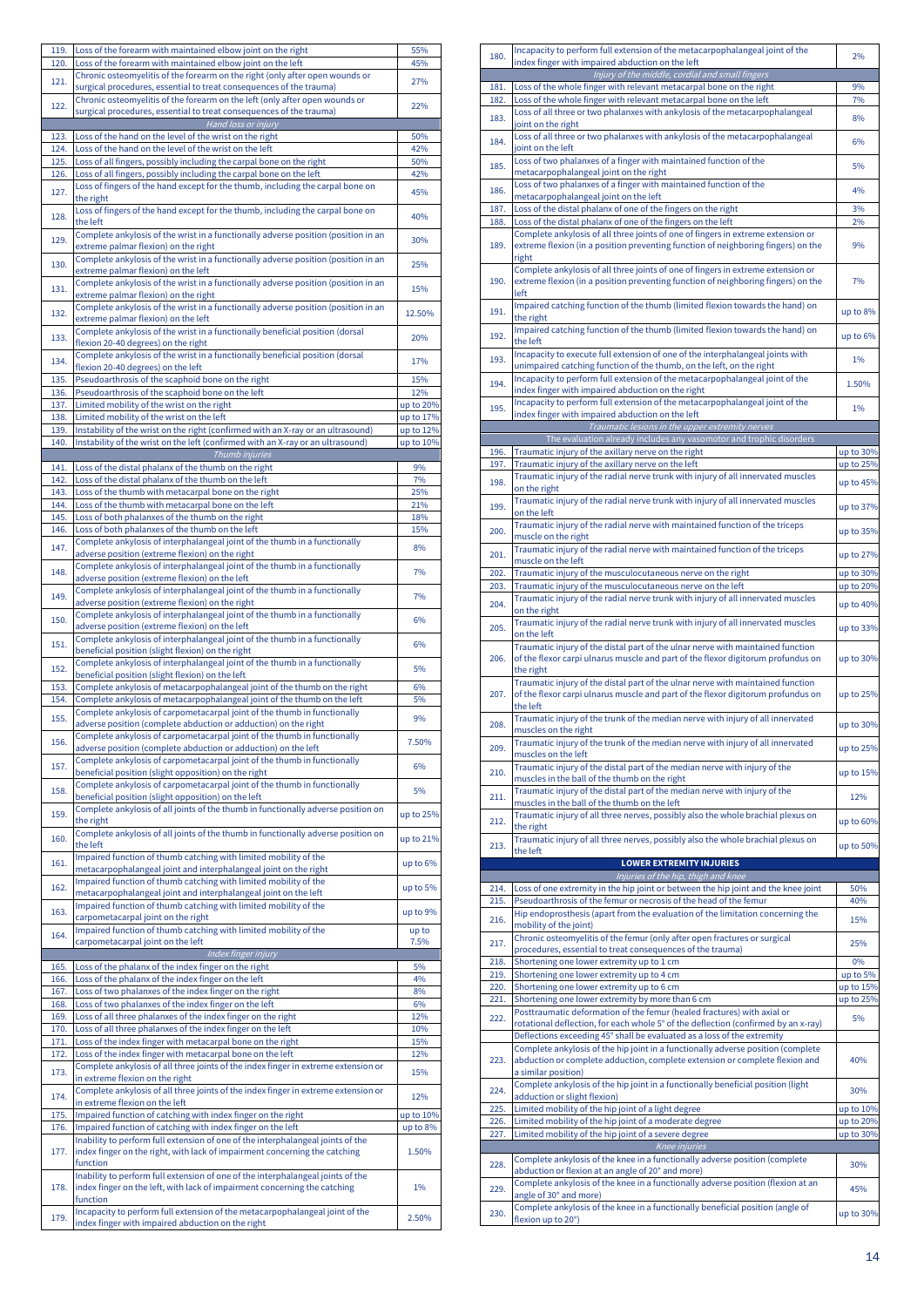| 119. |                                                                                                                                   |           |
|------|-----------------------------------------------------------------------------------------------------------------------------------|-----------|
|      | Loss of the forearm with maintained elbow joint on the right                                                                      | 55%       |
| 120. | Loss of the forearm with maintained elbow joint on the left                                                                       | 45%       |
|      | Chronic osteomyelitis of the forearm on the right (only after open wounds or                                                      |           |
| 121. | surgical procedures, essential to treat consequences of the trauma)                                                               | 27%       |
|      | Chronic osteomyelitis of the forearm on the left (only after open wounds or                                                       |           |
| 122. | surgical procedures, essential to treat consequences of the trauma)                                                               | 22%       |
|      |                                                                                                                                   |           |
|      | Hand loss or injury                                                                                                               |           |
| 123. | Loss of the hand on the level of the wrist on the right                                                                           | 50%       |
| 124. | Loss of the hand on the level of the wrist on the left                                                                            | 42%       |
| 125. | Loss of all fingers, possibly including the carpal bone on the right                                                              | 50%       |
| 126. | Loss of all fingers, possibly including the carpal bone on the left                                                               | 42%       |
|      | Loss of fingers of the hand except for the thumb, including the carpal bone on                                                    |           |
| 127. | the right                                                                                                                         | 45%       |
|      |                                                                                                                                   |           |
| 128. | Loss of fingers of the hand except for the thumb, including the carpal bone on                                                    | 40%       |
|      | the left                                                                                                                          |           |
| 129. | Complete ankylosis of the wrist in a functionally adverse position (position in an                                                | 30%       |
|      | extreme palmar flexion) on the right                                                                                              |           |
| 130. | Complete ankylosis of the wrist in a functionally adverse position (position in an                                                | 25%       |
|      | extreme palmar flexion) on the left                                                                                               |           |
|      | Complete ankylosis of the wrist in a functionally adverse position (position in an                                                |           |
| 131. | extreme palmar flexion) on the right                                                                                              | 15%       |
|      | Complete ankylosis of the wrist in a functionally adverse position (position in an                                                |           |
| 132. | extreme palmar flexion) on the left                                                                                               | 12.50%    |
|      | Complete ankylosis of the wrist in a functionally beneficial position (dorsal                                                     |           |
| 133. |                                                                                                                                   | 20%       |
|      | flexion 20-40 degrees) on the right                                                                                               |           |
| 134. | Complete ankylosis of the wrist in a functionally beneficial position (dorsal                                                     | 17%       |
|      | flexion 20-40 degrees) on the left                                                                                                |           |
| 135. | Pseudoarthrosis of the scaphoid bone on the right                                                                                 | 15%       |
| 136. | Pseudoarthrosis of the scaphoid bone on the left                                                                                  | 12%       |
| 137. | Limited mobility of the wrist on the right                                                                                        | up to 20% |
| 138. | Limited mobility of the wrist on the left                                                                                         | up to 17% |
|      |                                                                                                                                   |           |
| 139. | Instability of the wrist on the right (confirmed with an X-ray or an ultrasound)                                                  | up to 12% |
| 140. | Instability of the wrist on the left (confirmed with an X-ray or an ultrasound)                                                   | up to 10% |
|      | Thumb injuries                                                                                                                    |           |
| 141. | Loss of the distal phalanx of the thumb on the right                                                                              | 9%        |
| 142. | Loss of the distal phalanx of the thumb on the left                                                                               | 7%        |
| 143. | Loss of the thumb with metacarpal bone on the right                                                                               | 25%       |
|      |                                                                                                                                   |           |
| 144. | Loss of the thumb with metacarpal bone on the left                                                                                | 21%       |
| 145. | Loss of both phalanxes of the thumb on the right                                                                                  | 18%       |
| 146. | Loss of both phalanxes of the thumb on the left                                                                                   | 15%       |
|      | Complete ankylosis of interphalangeal joint of the thumb in a functionally                                                        |           |
| 147. | adverse position (extreme flexion) on the right                                                                                   | 8%        |
|      | Complete ankylosis of interphalangeal joint of the thumb in a functionally                                                        |           |
| 148. | adverse position (extreme flexion) on the left                                                                                    | 7%        |
|      |                                                                                                                                   |           |
| 149. | Complete ankylosis of interphalangeal joint of the thumb in a functionally                                                        | 7%        |
|      | adverse position (extreme flexion) on the right                                                                                   |           |
| 150. | Complete ankylosis of interphalangeal joint of the thumb in a functionally                                                        | 6%        |
|      | adverse position (extreme flexion) on the left                                                                                    |           |
|      | Complete ankylosis of interphalangeal joint of the thumb in a functionally                                                        | 6%        |
| 151. | beneficial position (slight flexion) on the right                                                                                 |           |
|      | Complete ankylosis of interphalangeal joint of the thumb in a functionally                                                        |           |
| 152. | beneficial position (slight flexion) on the left                                                                                  | 5%        |
|      | Complete ankylosis of metacarpophalangeal joint of the thumb on the right                                                         | 6%        |
| 153. |                                                                                                                                   |           |
| 154. | Complete ankylosis of metacarpophalangeal joint of the thumb on the left                                                          | 5%        |
| 155. | Complete ankylosis of carpometacarpal joint of the thumb in functionally                                                          | 9%        |
|      | adverse position (complete abduction or adduction) on the right                                                                   |           |
|      | Complete ankylosis of carpometacarpal joint of the thumb in functionally                                                          | 7.50%     |
| 156. | adverse position (complete abduction or adduction) on the left                                                                    |           |
|      | Complete ankylosis of carpometacarpal joint of the thumb in functionally                                                          |           |
| 157. | beneficial position (slight opposition) on the right                                                                              | 6%        |
|      | Complete ankylosis of carpometacarpal joint of the thumb in functionally                                                          |           |
| 158. |                                                                                                                                   |           |
|      | beneficial position (slight opposition) on the left                                                                               | 5%        |
|      |                                                                                                                                   |           |
|      | Complete ankylosis of all joints of the thumb in functionally adverse position on                                                 |           |
| 159. | the right                                                                                                                         | up to 25% |
|      | Complete ankylosis of all joints of the thumb in functionally adverse position on                                                 |           |
| 160. | the left                                                                                                                          | up to 21% |
|      | Impaired function of thumb catching with limited mobility of the                                                                  |           |
| 161. | metacarpophalangeal joint and interphalangeal joint on the right                                                                  | up to 6%  |
|      |                                                                                                                                   |           |
| 162. | Impaired function of thumb catching with limited mobility of the                                                                  | up to 5%  |
|      | metacarpophalangeal joint and interphalangeal joint on the left                                                                   |           |
| 163. | Impaired function of thumb catching with limited mobility of the                                                                  | up to 9%  |
|      | carpometacarpal joint on the right                                                                                                |           |
| 164. | Impaired function of thumb catching with limited mobility of the                                                                  | up to     |
|      | carpometacarpal joint on the left                                                                                                 | 7.5%      |
|      | Index finger injury                                                                                                               |           |
| 165. | Loss of the phalanx of the index finger on the right                                                                              | 5%        |
| 166. | Loss of the phalanx of the index finger on the left                                                                               | 4%        |
|      |                                                                                                                                   |           |
| 167. | Loss of two phalanxes of the index finger on the right                                                                            | 8%        |
| 168. | Loss of two phalanxes of the index finger on the left                                                                             | 6%        |
| 169. | Loss of all three phalanxes of the index finger on the right                                                                      | 12%       |
| 170. | Loss of all three phalanxes of the index finger on the left                                                                       | 10%       |
| 171. | Loss of the index finger with metacarpal bone on the right                                                                        | 15%       |
| 172. | Loss of the index finger with metacarpal bone on the left                                                                         | 12%       |
|      | Complete ankylosis of all three joints of the index finger in extreme extension or                                                |           |
| 173. |                                                                                                                                   | 15%       |
|      | in extreme flexion on the right                                                                                                   |           |
| 174. | Complete ankylosis of all three joints of the index finger in extreme extension or                                                | 12%       |
|      | in extreme flexion on the left                                                                                                    |           |
| 175. | Impaired function of catching with index finger on the right                                                                      | up to 10% |
| 176. | Impaired function of catching with index finger on the left                                                                       | up to 8%  |
|      | Inability to perform full extension of one of the interphalangeal joints of the                                                   |           |
| 177. | index finger on the right, with lack of impairment concerning the catching                                                        | 1.50%     |
|      | function                                                                                                                          |           |
|      |                                                                                                                                   |           |
|      | Inability to perform full extension of one of the interphalangeal joints of the                                                   |           |
| 178. | index finger on the left, with lack of impairment concerning the catching                                                         | 1%        |
|      | function                                                                                                                          |           |
| 179. | Incapacity to perform full extension of the metacarpophalangeal joint of the<br>index finger with impaired abduction on the right | 2.50%     |

| 180.         | Incapacity to perform full extension of the metacarpophalangeal joint of the<br>index finger with impaired abduction on the left                                                 |                        |  |  |  |
|--------------|----------------------------------------------------------------------------------------------------------------------------------------------------------------------------------|------------------------|--|--|--|
| 181.         | Injury of the middle, cordial and small fingers<br>Loss of the whole finger with relevant metacarpal bone on the right                                                           | 9%                     |  |  |  |
| 182.         | Loss of the whole finger with relevant metacarpal bone on the left                                                                                                               | 7%                     |  |  |  |
| 183.         | Loss of all three or two phalanxes with ankylosis of the metacarpophalangeal                                                                                                     | 8%                     |  |  |  |
| 184.         | joint on the right<br>Loss of all three or two phalanxes with ankylosis of the metacarpophalangeal                                                                               | 6%                     |  |  |  |
|              | joint on the left<br>Loss of two phalanxes of a finger with maintained function of the                                                                                           |                        |  |  |  |
| 185.         | metacarpophalangeal joint on the right                                                                                                                                           | 5%                     |  |  |  |
| 186.         | Loss of two phalanxes of a finger with maintained function of the<br>metacarpophalangeal joint on the left                                                                       | 4%                     |  |  |  |
| 187.         | Loss of the distal phalanx of one of the fingers on the right                                                                                                                    | 3%                     |  |  |  |
| 188.         | Loss of the distal phalanx of one of the fingers on the left<br>Complete ankylosis of all three joints of one of fingers in extreme extension or                                 | 2%                     |  |  |  |
| 189.         | extreme flexion (in a position preventing function of neighboring fingers) on the<br>right                                                                                       | 9%                     |  |  |  |
| 190.         | Complete ankylosis of all three joints of one of fingers in extreme extension or<br>extreme flexion (in a position preventing function of neighboring fingers) on the<br>left    | 7%                     |  |  |  |
| 191.         | Impaired catching function of the thumb (limited flexion towards the hand) on<br>the right                                                                                       | up to 8%               |  |  |  |
| 192.         | Impaired catching function of the thumb (limited flexion towards the hand) on<br>the left                                                                                        | up to 6%               |  |  |  |
| 193.         | Incapacity to execute full extension of one of the interphalangeal joints with<br>unimpaired catching function of the thumb, on the left, on the right                           | 1%                     |  |  |  |
| 194.         | Incapacity to perform full extension of the metacarpophalangeal joint of the<br>index finger with impaired abduction on the right                                                | 1.50%                  |  |  |  |
| 195.         | Incapacity to perform full extension of the metacarpophalangeal joint of the<br>index finger with impaired abduction on the left                                                 | 1%                     |  |  |  |
|              | Traumatic lesions in the upper extremity nerves                                                                                                                                  |                        |  |  |  |
| 196.         | The evaluation already includes any vasomotor and trophic disorders<br>Traumatic injury of the axillary nerve on the right                                                       | up to 30%              |  |  |  |
| 197.         | Traumatic injury of the axillary nerve on the left                                                                                                                               | up to 25%              |  |  |  |
| 198.         | Traumatic injury of the radial nerve trunk with injury of all innervated muscles                                                                                                 | up to 45%              |  |  |  |
| 199.         | on the right<br>Traumatic injury of the radial nerve trunk with injury of all innervated muscles<br>on the left                                                                  | up to 37%              |  |  |  |
| 200.         | Traumatic injury of the radial nerve with maintained function of the triceps<br>muscle on the right                                                                              | up to 35%              |  |  |  |
| 201.         | Traumatic injury of the radial nerve with maintained function of the triceps<br>muscle on the left                                                                               | up to 27%              |  |  |  |
| 202.         | Traumatic injury of the musculocutaneous nerve on the right                                                                                                                      | up to 30%              |  |  |  |
| 203.         | Traumatic injury of the musculocutaneous nerve on the left                                                                                                                       | up to 20%              |  |  |  |
| 204.         | Traumatic injury of the radial nerve trunk with injury of all innervated muscles<br>on the right                                                                                 | up to 40%              |  |  |  |
| 205.         | Traumatic injury of the radial nerve trunk with injury of all innervated muscles<br>on the left                                                                                  | up to 33%              |  |  |  |
| 206.         | Traumatic injury of the distal part of the ulnar nerve with maintained function<br>of the flexor carpi ulnarus muscle and part of the flexor digitorum profundus on<br>the right | up to 30%              |  |  |  |
| 207.         | Traumatic injury of the distal part of the ulnar nerve with maintained function<br>of the flexor carpi ulnarus muscle and part of the flexor digitorum profundus on<br>the left  | up to 25%              |  |  |  |
| 208.         | Traumatic injury of the trunk of the median nerve with injury of all innervated<br>muscles on the right                                                                          | up to 30%              |  |  |  |
| 209.         | Traumatic injury of the trunk of the median nerve with injury of all innervated<br>muscles on the left                                                                           | up to 25%              |  |  |  |
| 210.         | Traumatic injury of the distal part of the median nerve with injury of the<br>muscles in the ball of the thumb on the right                                                      | up to 15%              |  |  |  |
| 211.         | Traumatic injury of the distal part of the median nerve with injury of the<br>muscles in the ball of the thumb on the left                                                       | 12%                    |  |  |  |
| 212.         | Traumatic injury of all three nerves, possibly also the whole brachial plexus on<br>the right                                                                                    | up to 60%              |  |  |  |
| 213.         | Traumatic injury of all three nerves, possibly also the whole brachial plexus on<br>the left                                                                                     | up to 50%              |  |  |  |
|              | <b>LOWER EXTREMITY INJURIES</b>                                                                                                                                                  |                        |  |  |  |
|              | Injuries of the hip, thigh and knee                                                                                                                                              |                        |  |  |  |
| 214.<br>215. | Loss of one extremity in the hip joint or between the hip joint and the knee joint<br>Pseudoarthrosis of the femur or necrosis of the head of the femur                          | 50%<br>40%             |  |  |  |
| 216.         | Hip endoprosthesis (apart from the evaluation of the limitation concerning the<br>mobility of the joint)                                                                         | 15%                    |  |  |  |
| 217.         | Chronic osteomyelitis of the femur (only after open fractures or surgical<br>procedures, essential to treat consequences of the trauma)                                          | 25%                    |  |  |  |
| 218.         | Shortening one lower extremity up to 1 cm                                                                                                                                        | 0%                     |  |  |  |
| 219.<br>220. | Shortening one lower extremity up to 4 cm<br>Shortening one lower extremity up to 6 cm                                                                                           | up to 5%<br>up to 15%  |  |  |  |
| 221.         | Shortening one lower extremity by more than 6 cm                                                                                                                                 | up to 25%              |  |  |  |
| 222.         | Posttraumatic deformation of the femur (healed fractures) with axial or<br>rotational deflection, for each whole 5° of the deflection (confirmed by an x-ray)                    | 5%                     |  |  |  |
|              | Deflections exceeding 45° shall be evaluated as a loss of the extremity<br>Complete ankylosis of the hip joint in a functionally adverse position (complete                      |                        |  |  |  |
| 223.         | abduction or complete adduction, complete extension or complete flexion and<br>a similar position)                                                                               | 40%                    |  |  |  |
| 224.         | Complete ankylosis of the hip joint in a functionally beneficial position (light<br>adduction or slight flexion)                                                                 | 30%                    |  |  |  |
| 225.<br>226. |                                                                                                                                                                                  |                        |  |  |  |
|              | Limited mobility of the hip joint of a light degree                                                                                                                              | up to 10%              |  |  |  |
| 227.         | Limited mobility of the hip joint of a moderate degree<br>Limited mobility of the hip joint of a severe degree                                                                   | up to 20%<br>up to 30% |  |  |  |
|              | Knee injuries                                                                                                                                                                    |                        |  |  |  |
| 228.         | Complete ankylosis of the knee in a functionally adverse position (complete                                                                                                      | 30%                    |  |  |  |
| 229.         | abduction or flexion at an angle of 20° and more)<br>Complete ankylosis of the knee in a functionally adverse position (flexion at an                                            | 45%                    |  |  |  |
| 230.         | angle of 30° and more)<br>Complete ankylosis of the knee in a functionally beneficial position (angle of<br>flexion up to 20°)                                                   | up to 30%              |  |  |  |